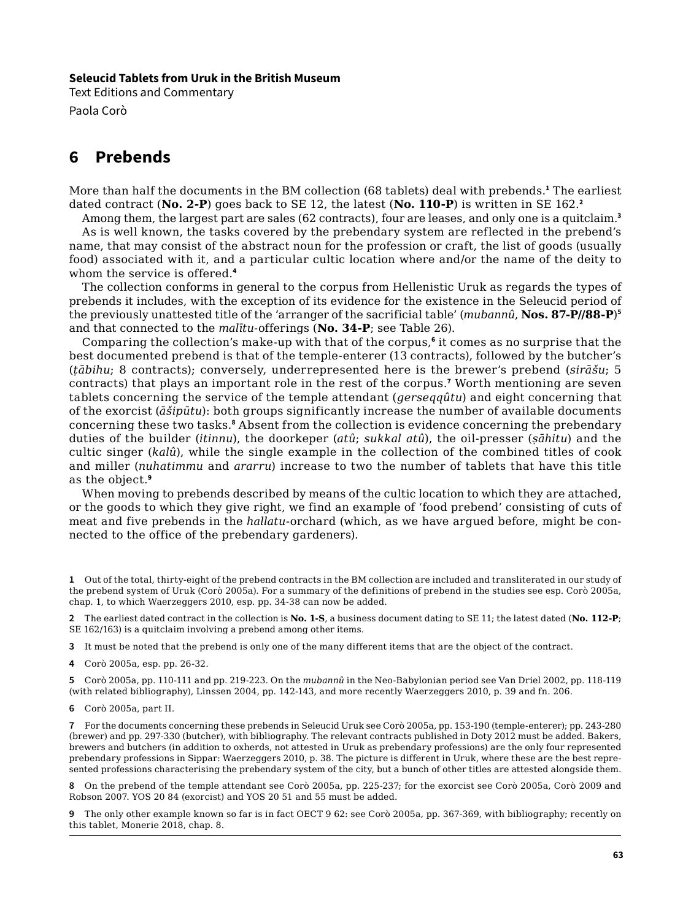#### **Seleucid Tablets from Uruk in the British Museum**

Text Editions and Commentary Paola Corò

# **6 Prebends**

More than half the documents in the BM collection (68 tablets) deal with prebends.**<sup>1</sup>** The earliest dated contract (**No. 2-P**) goes back to SE 12, the latest (**No. 110-P**) is written in SE 162.**<sup>2</sup>**

Among them, the largest part are sales (62 contracts), four are leases, and only one is a quitclaim.**<sup>3</sup>**

As is well known, the tasks covered by the prebendary system are reflected in the prebend's name, that may consist of the abstract noun for the profession or craft, the list of goods (usually food) associated with it, and a particular cultic location where and/or the name of the deity to whom the service is offered.**<sup>4</sup>**

The collection conforms in general to the corpus from Hellenistic Uruk as regards the types of prebends it includes, with the exception of its evidence for the existence in the Seleucid period of the previously unattested title of the 'arranger of the sacrificial table' (*mubannû*, **Nos. 87-P//88-P**)**<sup>5</sup>** and that connected to the *malītu-*offerings (**No. 34-P**; see Table 26).

Comparing the collection's make-up with that of the corpus,**<sup>6</sup>** it comes as no surprise that the best documented prebend is that of the temple-enterer (13 contracts), followed by the butcher's (*ṭābihu*; 8 contracts); conversely, underrepresented here is the brewer's prebend (*sirāšu*; 5 contracts) that plays an important role in the rest of the corpus.**<sup>7</sup>** Worth mentioning are seven tablets concerning the service of the temple attendant (*gerseqqûtu*) and eight concerning that of the exorcist (*āšipūtu*): both groups significantly increase the number of available documents concerning these two tasks.**<sup>8</sup>** Absent from the collection is evidence concerning the prebendary duties of the builder (*itinnu*), the doorkeper (*atû*; *sukkal atû*), the oil-presser (*ṣāhitu*) and the cultic singer (*kalû*), while the single example in the collection of the combined titles of cook and miller (*nuhatimmu* and *ararru*) increase to two the number of tablets that have this title as the object.**<sup>9</sup>**

When moving to prebends described by means of the cultic location to which they are attached, or the goods to which they give right, we find an example of 'food prebend' consisting of cuts of meat and five prebends in the *hallatu*-orchard (which, as we have argued before, might be connected to the office of the prebendary gardeners).

**2** The earliest dated contract in the collection is **No. 1-S**, a business document dating to SE 11; the latest dated (**No. 112-P**; SE 162/163) is a quitclaim involving a prebend among other items.

**3** It must be noted that the prebend is only one of the many different items that are the object of the contract.

**4** Corò 2005a, esp. pp. 26-32.

**5** Corò 2005a, pp. 110-111 and pp. 219-223. On the *mubannû* in the Neo-Babylonian period see Van Driel 2002, pp. 118-119 (with related bibliography), Linssen 2004, pp. 142-143, and more recently Waerzeggers 2010, p. 39 and fn. 206.

**6** Corò 2005a, part II.

**7** For the documents concerning these prebends in Seleucid Uruk see Corò 2005a, pp. 153-190 (temple-enterer); pp. 243-280 (brewer) and pp. 297-330 (butcher), with bibliography. The relevant contracts published in Doty 2012 must be added. Bakers, brewers and butchers (in addition to oxherds, not attested in Uruk as prebendary professions) are the only four represented prebendary professions in Sippar: Waerzeggers 2010, p. 38. The picture is different in Uruk, where these are the best represented professions characterising the prebendary system of the city, but a bunch of other titles are attested alongside them.

**8** On the prebend of the temple attendant see Corò 2005a, pp. 225-237; for the exorcist see Corò 2005a, Corò 2009 and Robson 2007. YOS 20 84 (exorcist) and YOS 20 51 and 55 must be added.

**9** The only other example known so far is in fact OECT 9 62: see Corò 2005a, pp. 367-369, with bibliography; recently on this tablet, Monerie 2018, chap. 8.

**<sup>1</sup>** Out of the total, thirty-eight of the prebend contracts in the BM collection are included and transliterated in our study of the prebend system of Uruk (Corò 2005a). For a summary of the definitions of prebend in the studies see esp. Corò 2005a, chap. 1, to which Waerzeggers 2010, esp. pp. 34-38 can now be added.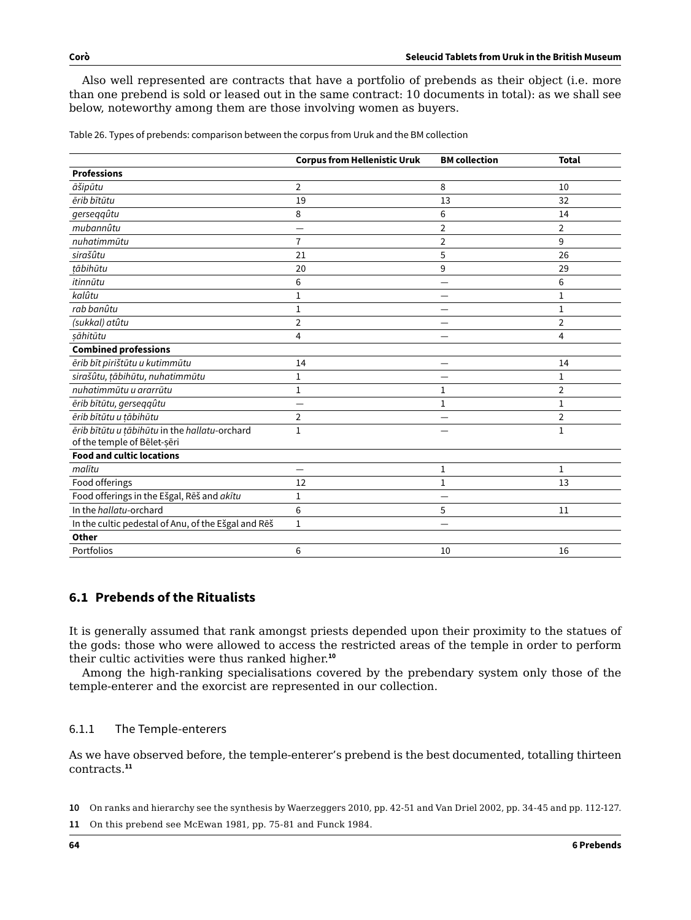Also well represented are contracts that have a portfolio of prebends as their object (i.e. more than one prebend is sold or leased out in the same contract: 10 documents in total): as we shall see below, noteworthy among them are those involving women as buyers.

|                                                     | <b>Corpus from Hellenistic Uruk</b> | <b>BM</b> collection | <b>Total</b>   |
|-----------------------------------------------------|-------------------------------------|----------------------|----------------|
| <b>Professions</b>                                  |                                     |                      |                |
| āšipūtu                                             | $\overline{2}$                      | 8                    | 10             |
| ērib bītūtu                                         | 19                                  | 13                   | 32             |
| gerseqqûtu                                          | 8                                   | 6                    | 14             |
| mubannûtu                                           |                                     | $\overline{2}$       | $\overline{2}$ |
| nuhatimmūtu                                         | $\overline{7}$                      | $\overline{2}$       | 9              |
| sirašûtu                                            | 21                                  | 5                    | 26             |
| tābihūtu                                            | 20                                  | 9                    | 29             |
| itinnūtu                                            | 6                                   |                      | 6              |
| kalûtu                                              | 1                                   |                      | 1              |
| rab banûtu                                          | 1                                   |                      | 1              |
| (sukkal) atûtu                                      | $\overline{2}$                      |                      | $\overline{2}$ |
| şāhitūtu                                            | 4                                   |                      | 4              |
| <b>Combined professions</b>                         |                                     |                      |                |
| ērib bīt pirištūtu u kutimmūtu                      | 14                                  |                      | 14             |
| sirašûtu, țābihūtu, nuhatimmūtu                     | 1                                   |                      | 1              |
| nuhatimmūtu u ararrūtu                              | 1                                   | 1                    | 2              |
| ērib bītūtu, gerseqqûtu                             |                                     | 1                    | 1              |
| ērib bītūtu u tābihūtu                              | $\overline{2}$                      |                      | 2              |
| erib bītūtu u țābihūtu in the hallatu-orchard       | 1                                   |                      | 1              |
| of the temple of Bēlet-șēri                         |                                     |                      |                |
| <b>Food and cultic locations</b>                    |                                     |                      |                |
| malītu                                              |                                     | 1                    | $\mathbf 1$    |
| Food offerings                                      | 12                                  | 1                    | 13             |
| Food offerings in the Ešgal, Rēš and akītu          | 1                                   |                      |                |
| In the hallatu-orchard                              | 6                                   | 5                    | 11             |
| In the cultic pedestal of Anu, of the Ešgal and Rēš | $\mathbf{1}$                        |                      |                |
| Other                                               |                                     |                      |                |
| Portfolios                                          | 6                                   | 10                   | 16             |

Table 26. Types of prebends: comparison between the corpus from Uruk and the BM collection

# **6.1 Prebends of the Ritualists**

It is generally assumed that rank amongst priests depended upon their proximity to the statues of the gods: those who were allowed to access the restricted areas of the temple in order to perform their cultic activities were thus ranked higher.**<sup>10</sup>**

Among the high-ranking specialisations covered by the prebendary system only those of the temple-enterer and the exorcist are represented in our collection.

#### 6.1.1 The Temple-enterers

As we have observed before, the temple-enterer's prebend is the best documented, totalling thirteen contracts.**<sup>11</sup>**

**10** On ranks and hierarchy see the synthesis by Waerzeggers 2010, pp. 42-51 and Van Driel 2002, pp. 34-45 and pp. 112-127.

**11** On this prebend see McEwan 1981, pp. 75-81 and Funck 1984.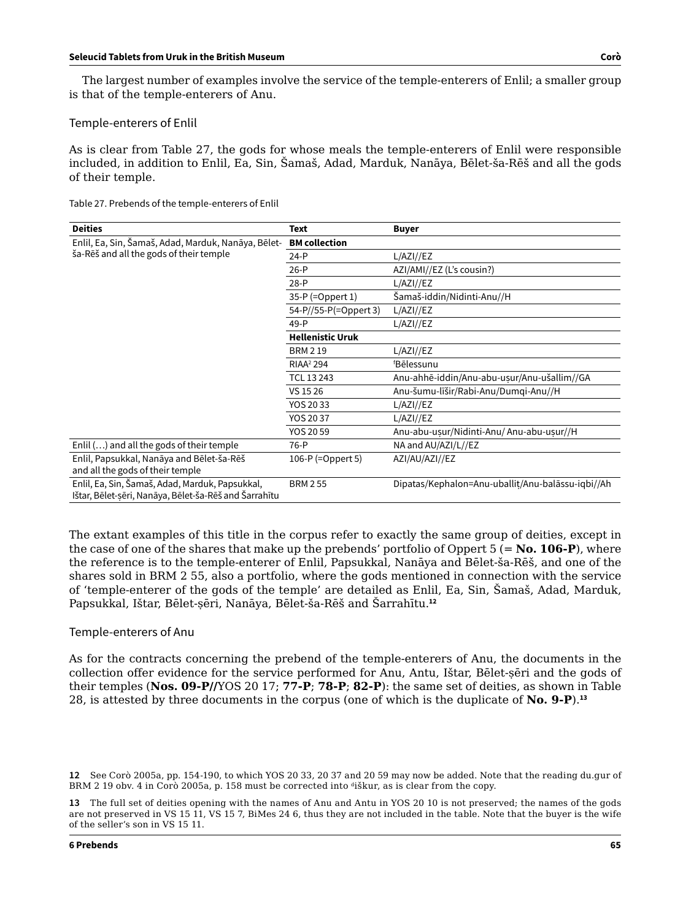The largest number of examples involve the service of the temple-enterers of Enlil; a smaller group is that of the temple-enterers of Anu.

#### Temple-enterers of Enlil

As is clear from Table 27, the gods for whose meals the temple-enterers of Enlil were responsible included, in addition to Enlil, Ea, Sin, Šamaš, Adad, Marduk, Nanāya, Bēlet-ša-Rēš and all the gods of their temple.

Table 27. Prebends of the temple-enterers of Enlil

| <b>Deities</b>                                                                                           | <b>Text</b>             | <b>Buyer</b>                                      |
|----------------------------------------------------------------------------------------------------------|-------------------------|---------------------------------------------------|
| Enlil, Ea, Sin, Šamaš, Adad, Marduk, Nanāya, Bēlet-                                                      | <b>BM</b> collection    |                                                   |
| ša-Rēš and all the gods of their temple                                                                  | $24-P$                  | L/AZI//EZ                                         |
|                                                                                                          | $26-P$                  | AZI/AMI//EZ (L's cousin?)                         |
|                                                                                                          | $28-P$                  | L/AZI//EZ                                         |
|                                                                                                          | $35-P$ (=Oppert 1)      | Šamaš-iddin/Nidinti-Anu//H                        |
|                                                                                                          | 54-P//55-P(=Oppert 3)   | L/AZI//EZ                                         |
|                                                                                                          | 49-P                    | L/AZI//EZ                                         |
|                                                                                                          | <b>Hellenistic Uruk</b> |                                                   |
|                                                                                                          | <b>BRM 219</b>          | L/AZI//EZ                                         |
|                                                                                                          | RIAA <sup>2</sup> 294   | <sup>f</sup> Bēlessunu                            |
|                                                                                                          | TCL 13 243              | Anu-ahhē-iddin/Anu-abu-usur/Anu-ušallim//GA       |
|                                                                                                          | VS 15 26                | Anu-šumu-līšir/Rabi-Anu/Dumqi-Anu//H              |
|                                                                                                          | YOS 2033                | L/AZI//EZ                                         |
|                                                                                                          | YOS 20 37               | L/AZI//EZ                                         |
|                                                                                                          | YOS 20 59               | Anu-abu-usur/Nidinti-Anu/Anu-abu-usur//H          |
| Enlil $()$ and all the gods of their temple                                                              | 76-P                    | NA and AU/AZI/L//EZ                               |
| Enlil, Papsukkal, Nanāya and Bēlet-ša-Rēš                                                                | 106-P $(=0$ ppert 5)    | AZI/AU/AZI//EZ                                    |
| and all the gods of their temple                                                                         |                         |                                                   |
| Enlil, Ea, Sin, Šamaš, Adad, Marduk, Papsukkal,<br>Ištar, Bēlet-sēri, Nanāya, Bēlet-ša-Rēš and Šarrahītu | <b>BRM 255</b>          | Dipatas/Kephalon=Anu-uballit/Anu-balāssu-iqbi//Ah |

The extant examples of this title in the corpus refer to exactly the same group of deities, except in the case of one of the shares that make up the prebends' portfolio of Oppert 5 (= **No. 106-P**), where the reference is to the temple-enterer of Enlil, Papsukkal, Nanāya and Bēlet-ša-Rēš, and one of the shares sold in BRM 2 55, also a portfolio, where the gods mentioned in connection with the service of 'temple-enterer of the gods of the temple' are detailed as Enlil, Ea, Sin, Šamaš, Adad, Marduk, Papsukkal, Ištar, Bēlet-ṣēri, Nanāya, Bēlet-ša-Rēš and Šarrahītu.**<sup>12</sup>**

#### Temple-enterers of Anu

As for the contracts concerning the prebend of the temple-enterers of Anu, the documents in the collection offer evidence for the service performed for Anu, Antu, Ištar, Bēlet-ṣēri and the gods of their temples (**Nos. 09-P//**YOS 20 17; **77-P**; **78-P**; **82-P**): the same set of deities, as shown in Table 28, is attested by three documents in the corpus (one of which is the duplicate of **No. 9-P**).**<sup>13</sup>**

**<sup>12</sup>** See Corò 2005a, pp. 154-190, to which YOS 20 33, 20 37 and 20 59 may now be added. Note that the reading du.gur of BRM 2 19 obv. 4 in Corò 2005a, p. 158 must be corrected into <sup>d</sup>iškur, as is clear from the copy.

**<sup>13</sup>** The full set of deities opening with the names of Anu and Antu in YOS 20 10 is not preserved; the names of the gods are not preserved in VS 15 11, VS 15 7, BiMes 24 6, thus they are not included in the table. Note that the buyer is the wife of the seller's son in VS 15 11.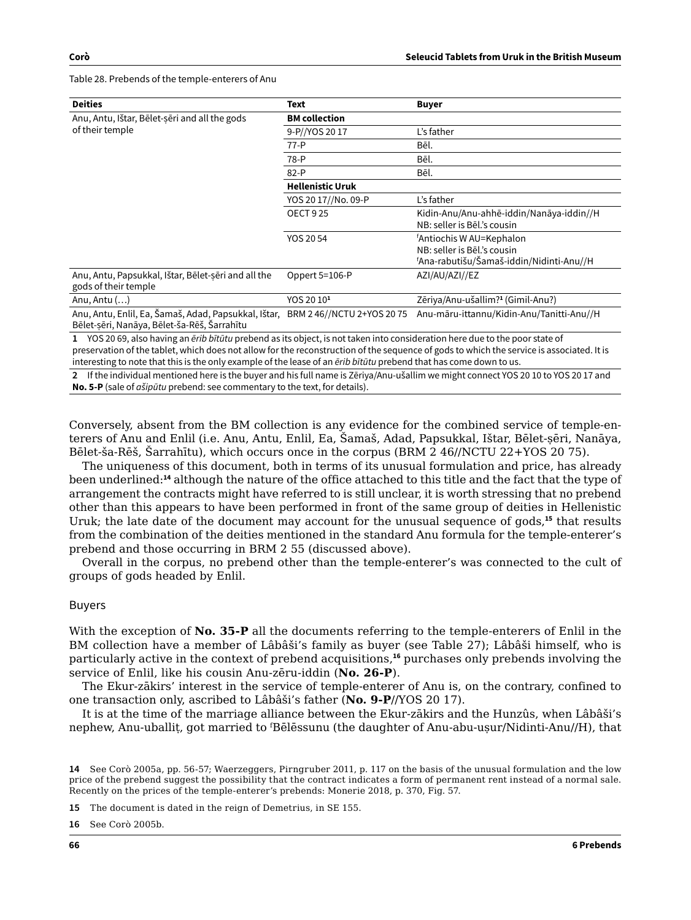#### Table 28. Prebends of the temple-enterers of Anu

| <b>Deities</b>                                                                                                                      | <b>Text</b>             | <b>Buyer</b>                                  |
|-------------------------------------------------------------------------------------------------------------------------------------|-------------------------|-----------------------------------------------|
| Anu, Antu, Ištar, Bēlet-sēri and all the gods                                                                                       | <b>BM</b> collection    |                                               |
| of their temple                                                                                                                     | 9-P//YOS 20 17          | L's father                                    |
|                                                                                                                                     | $77-P$                  | Bēl.                                          |
|                                                                                                                                     | 78-P                    | Bēl.                                          |
|                                                                                                                                     | $82-P$                  | Bēl.                                          |
|                                                                                                                                     | <b>Hellenistic Uruk</b> |                                               |
|                                                                                                                                     | YOS 20 17//No. 09-P     | L's father                                    |
|                                                                                                                                     | <b>OECT 925</b>         | Kidin-Anu/Anu-ahhē-iddin/Nanāya-iddin//H      |
|                                                                                                                                     |                         | NB: seller is Bēl.'s cousin                   |
|                                                                                                                                     | YOS 20 54               | fAntiochis W AU=Kephalon                      |
|                                                                                                                                     |                         | NB: seller is Bel.'s cousin                   |
|                                                                                                                                     |                         | fAna-rabutišu/Šamaš-iddin/Nidinti-Anu//H      |
| Anu, Antu, Papsukkal, Ištar, Bēlet-sēri and all the<br>gods of their temple                                                         | Oppert 5=106-P          | AZI/AU/AZI//EZ                                |
| Anu, Antu $()$                                                                                                                      | YOS 20 10 <sup>1</sup>  | Zēriya/Anu-ušallim? <sup>1</sup> (Gimil-Anu?) |
| Anu, Antu, Enlil, Ea, Šamaš, Adad, Papsukkal, Ištar, BRM 246//NCTU 2+YOS 2075<br>Bēlet-sēri, Nanāya, Bēlet-ša-Rēš, Šarrahītu        |                         | Anu-māru-ittannu/Kidin-Anu/Tanitti-Anu//H     |
| 1 YOS 20 69, also having an <i>erib bitutu</i> prebend as its object, is not taken into consideration here due to the poor state of |                         |                                               |

preservation of the tablet, which does not allow for the reconstruction of the sequence of gods to which the service is associated. It is interesting to note that this is the only example of the lease of an *ērib bītūtu* prebend that has come down to us.

**2** If the individual mentioned here is the buyer and his full name is Zēriya/Anu-ušallim we might connect YOS 20 10 to YOS 20 17 and **No. 5-P** (sale of *ašipūtu* prebend: see commentary to the text, for details).

Conversely, absent from the BM collection is any evidence for the combined service of temple-enterers of Anu and Enlil (i.e. Anu, Antu, Enlil, Ea, Šamaš, Adad, Papsukkal, Ištar, Bēlet-ṣēri, Nanāya, Bēlet-ša-Rēš, Šarrahītu), which occurs once in the corpus (BRM 2 46//NCTU 22+YOS 20 75).

The uniqueness of this document, both in terms of its unusual formulation and price, has already been underlined:**<sup>14</sup>** although the nature of the office attached to this title and the fact that the type of arrangement the contracts might have referred to is still unclear, it is worth stressing that no prebend other than this appears to have been performed in front of the same group of deities in Hellenistic Uruk; the late date of the document may account for the unusual sequence of gods,**<sup>15</sup>** that results from the combination of the deities mentioned in the standard Anu formula for the temple-enterer's prebend and those occurring in BRM 2 55 (discussed above).

Overall in the corpus, no prebend other than the temple-enterer's was connected to the cult of groups of gods headed by Enlil.

#### Buyers

With the exception of **No. 35-P** all the documents referring to the temple-enterers of Enlil in the BM collection have a member of Lâbâši's family as buyer (see Table 27); Lâbâši himself, who is particularly active in the context of prebend acquisitions,**<sup>16</sup>** purchases only prebends involving the service of Enlil, like his cousin Anu-zēru-iddin (**No. 26-P**).

The Ekur-zākirs' interest in the service of temple-enterer of Anu is, on the contrary, confined to one transaction only, ascribed to Lâbâši's father (**No. 9-P**//YOS 20 17).

It is at the time of the marriage alliance between the Ekur-zākirs and the Hunzûs, when Lâbâši's nephew, Anu-uballiṭ, got married to <sup>f</sup> Bēlēssunu (the daughter of Anu-abu-uṣur/Nidinti-Anu//H), that

**16** See Corò 2005b.

**<sup>14</sup>** See Corò 2005a, pp. 56-57; Waerzeggers, Pirngruber 2011, p. 117 on the basis of the unusual formulation and the low price of the prebend suggest the possibility that the contract indicates a form of permanent rent instead of a normal sale. Recently on the prices of the temple-enterer's prebends: Monerie 2018, p. 370, Fig. 57.

**<sup>15</sup>** The document is dated in the reign of Demetrius, in SE 155.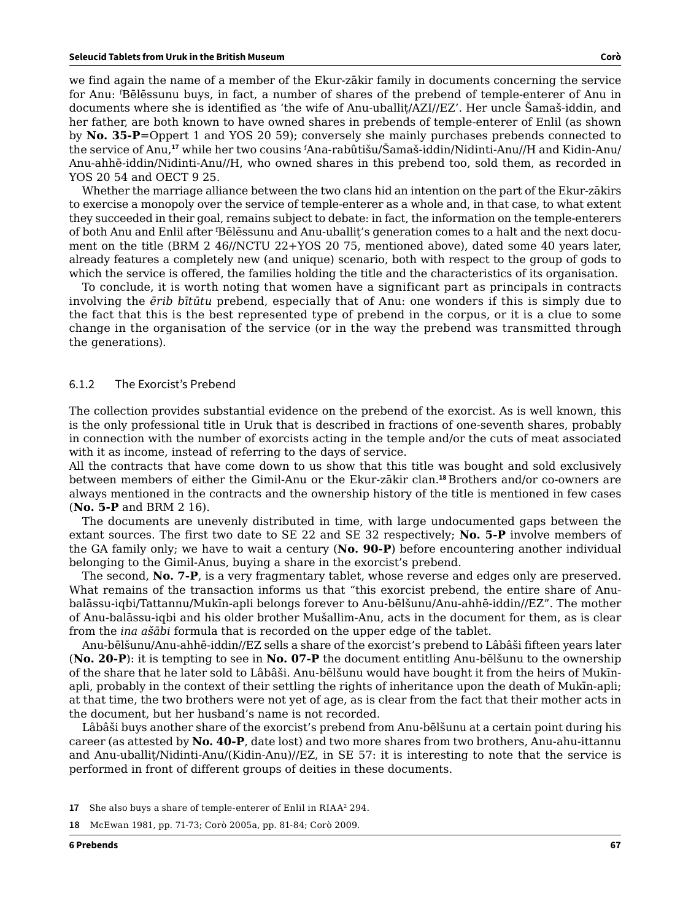we find again the name of a member of the Ekur-zākir family in documents concerning the service for Anu: f Bēlēssunu buys, in fact, a number of shares of the prebend of temple-enterer of Anu in documents where she is identified as 'the wife of Anu-uballiṭ/AZI//EZ'. Her uncle Šamaš-iddin, and her father, are both known to have owned shares in prebends of temple-enterer of Enlil (as shown by **No. 35-P**=Oppert 1 and YOS 20 59); conversely she mainly purchases prebends connected to the service of Anu,**<sup>17</sup>** while her two cousins f Ana-rabûtišu/Šamaš-iddin/Nidinti-Anu//H and Kidin-Anu/ Anu-ahhē-iddin/Nidinti-Anu//H, who owned shares in this prebend too, sold them, as recorded in YOS 20 54 and OECT 9 25.

Whether the marriage alliance between the two clans hid an intention on the part of the Ekur-zākirs to exercise a monopoly over the service of temple-enterer as a whole and, in that case, to what extent they succeeded in their goal, remains subject to debate: in fact, the information on the temple-enterers of both Anu and Enlil after f Bēlēssunu and Anu-uballiṭ's generation comes to a halt and the next document on the title (BRM 2 46//NCTU 22+YOS 20 75, mentioned above), dated some 40 years later, already features a completely new (and unique) scenario, both with respect to the group of gods to which the service is offered, the families holding the title and the characteristics of its organisation.

To conclude, it is worth noting that women have a significant part as principals in contracts involving the *ērib bītūtu* prebend, especially that of Anu: one wonders if this is simply due to the fact that this is the best represented type of prebend in the corpus, or it is a clue to some change in the organisation of the service (or in the way the prebend was transmitted through the generations).

#### 6.1.2 The Exorcist's Prebend

The collection provides substantial evidence on the prebend of the exorcist. As is well known, this is the only professional title in Uruk that is described in fractions of one-seventh shares, probably in connection with the number of exorcists acting in the temple and/or the cuts of meat associated with it as income, instead of referring to the days of service.

All the contracts that have come down to us show that this title was bought and sold exclusively between members of either the Gimil-Anu or the Ekur-zākir clan.**<sup>18</sup>** Brothers and/or co-owners are always mentioned in the contracts and the ownership history of the title is mentioned in few cases (**No. 5-P** and BRM 2 16).

The documents are unevenly distributed in time, with large undocumented gaps between the extant sources. The first two date to SE 22 and SE 32 respectively; **No. 5-P** involve members of the GA family only; we have to wait a century (**No. 90-P**) before encountering another individual belonging to the Gimil-Anus, buying a share in the exorcist's prebend.

The second, **No. 7-P**, is a very fragmentary tablet, whose reverse and edges only are preserved. What remains of the transaction informs us that "this exorcist prebend, the entire share of Anubalāssu-iqbi/Tattannu/Mukīn-apli belongs forever to Anu-bēlšunu/Anu-ahhē-iddin//EZ". The mother of Anu-balāssu-iqbi and his older brother Mušallim-Anu, acts in the document for them, as is clear from the *ina ašābi* formula that is recorded on the upper edge of the tablet.

Anu-bēlšunu/Anu-ahhē-iddin//EZ sells a share of the exorcist's prebend to Lâbâši fifteen years later (**No. 20-P**): it is tempting to see in **No. 07-P** the document entitling Anu-bēlšunu to the ownership of the share that he later sold to Lâbâši. Anu-bēlšunu would have bought it from the heirs of Mukīnapli, probably in the context of their settling the rights of inheritance upon the death of Mukīn-apli; at that time, the two brothers were not yet of age, as is clear from the fact that their mother acts in the document, but her husband's name is not recorded.

Lâbâši buys another share of the exorcist's prebend from Anu-bēlšunu at a certain point during his career (as attested by **No. 40-P**, date lost) and two more shares from two brothers, Anu-ahu-ittannu and Anu-uballiṭ/Nidinti-Anu/(Kidin-Anu)//EZ, in SE 57: it is interesting to note that the service is performed in front of different groups of deities in these documents.

**17** She also buys a share of temple-enterer of Enlil in RIAA<sup>2</sup> 294.

**18** McEwan 1981, pp. 71-73; Corò 2005a, pp. 81-84; Corò 2009.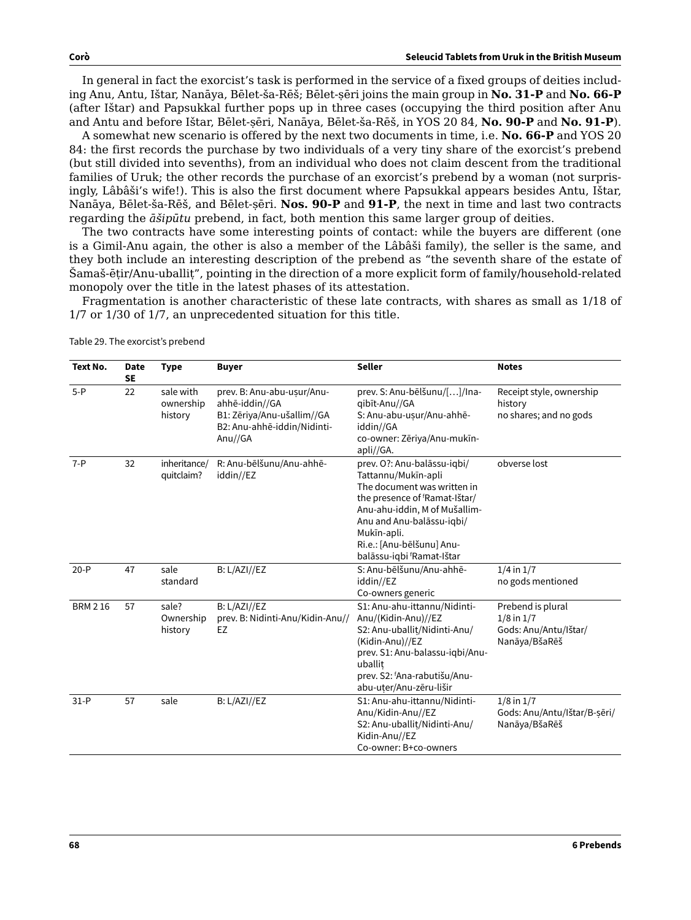In general in fact the exorcist's task is performed in the service of a fixed groups of deities including Anu, Antu, Ištar, Nanāya, Bēlet-ša-Rēš; Bēlet-ṣēri joins the main group in **No. 31-P** and **No. 66-P** (after Ištar) and Papsukkal further pops up in three cases (occupying the third position after Anu and Antu and before Ištar, Bēlet-ṣēri, Nanāya, Bēlet-ša-Rēš, in YOS 20 84, **No. 90-P** and **No. 91-P**).

A somewhat new scenario is offered by the next two documents in time, i.e. **No. 66-P** and YOS 20 84: the first records the purchase by two individuals of a very tiny share of the exorcist's prebend (but still divided into sevenths), from an individual who does not claim descent from the traditional families of Uruk; the other records the purchase of an exorcist's prebend by a woman (not surprisingly, Lâbâši's wife!). This is also the first document where Papsukkal appears besides Antu, Ištar, Nanāya, Bēlet-ša-Rēš, and Bēlet-ṣēri. **Nos. 90-P** and **91-P**, the next in time and last two contracts regarding the *āšipūtu* prebend, in fact, both mention this same larger group of deities.

The two contracts have some interesting points of contact: while the buyers are different (one is a Gimil-Anu again, the other is also a member of the Lâbâši family), the seller is the same, and they both include an interesting description of the prebend as "the seventh share of the estate of Šamaš-ēṭir/Anu-uballiṭ", pointing in the direction of a more explicit form of family/household-related monopoly over the title in the latest phases of its attestation.

Fragmentation is another characteristic of these late contracts, with shares as small as 1/18 of 1/7 or 1/30 of 1/7, an unprecedented situation for this title.

| Text No.       | <b>Date</b><br><b>SE</b> | <b>Type</b>                       | <b>Buyer</b>                                                                                                         | <b>Seller</b>                                                                                                                                                                                                                                             | <b>Notes</b>                                                                  |
|----------------|--------------------------|-----------------------------------|----------------------------------------------------------------------------------------------------------------------|-----------------------------------------------------------------------------------------------------------------------------------------------------------------------------------------------------------------------------------------------------------|-------------------------------------------------------------------------------|
| $5-P$          | 22                       | sale with<br>ownership<br>history | prev. B: Anu-abu-usur/Anu-<br>ahhē-iddin//GA<br>B1: Zēriya/Anu-ušallim//GA<br>B2: Anu-ahhē-iddin/Nidinti-<br>Anu//GA | prev. S: Anu-bēlšunu/[]/Ina-<br>qibīt-Anu//GA<br>S: Anu-abu-usur/Anu-ahhē-<br>iddin//GA<br>co-owner: Zēriya/Anu-mukīn-<br>apli//GA.                                                                                                                       | Receipt style, ownership<br>history<br>no shares; and no gods                 |
| $7 - P$        | 32                       | inheritance/<br>quitclaim?        | R: Anu-bēlšunu/Anu-ahhē-<br>iddin//EZ                                                                                | prev. O?: Anu-balāssu-igbi/<br>Tattannu/Mukīn-apli<br>The document was written in<br>the presence of 'Ramat-Ištar/<br>Anu-ahu-iddin, M of Mušallim-<br>Anu and Anu-balassu-iqbi/<br>Mukīn-apli.<br>Ri.e.: [Anu-bēlšunu] Anu-<br>balāssu-igbi fRamat-Ištar | obverse lost                                                                  |
| $20-P$         | 47                       | sale<br>standard                  | B: L/AZI//EZ                                                                                                         | S: Anu-bēlšunu/Anu-ahhē-<br>iddin//EZ<br>Co-owners generic                                                                                                                                                                                                | $1/4$ in $1/7$<br>no gods mentioned                                           |
| <b>BRM 216</b> | 57                       | sale?<br>Ownership<br>history     | B: L/AZI//EZ<br>prev. B: Nidinti-Anu/Kidin-Anu//<br>EZ                                                               | S1: Anu-ahu-ittannu/Nidinti-<br>Anu/(Kidin-Anu)//EZ<br>S2: Anu-uballit/Nidinti-Anu/<br>(Kidin-Anu)//EZ<br>prev. S1: Anu-balassu-iqbi/Anu-<br>uballit<br>prev. S2: fAna-rabutišu/Anu-<br>abu-uter/Anu-zēru-lišir                                           | Prebend is plural<br>$1/8$ in $1/7$<br>Gods: Anu/Antu/Ištar/<br>Nanāya/BšaRēš |
| $31-P$         | 57                       | sale                              | B: L/AZI//EZ                                                                                                         | S1: Anu-ahu-ittannu/Nidinti-<br>Anu/Kidin-Anu//EZ<br>S2: Anu-uballit/Nidinti-Anu/<br>Kidin-Anu//EZ<br>Co-owner: B+co-owners                                                                                                                               | $1/8$ in $1/7$<br>Gods: Anu/Antu/Ištar/B-sēri/<br>Nanāya/BšaRēš               |

Table 29. The exorcist's prebend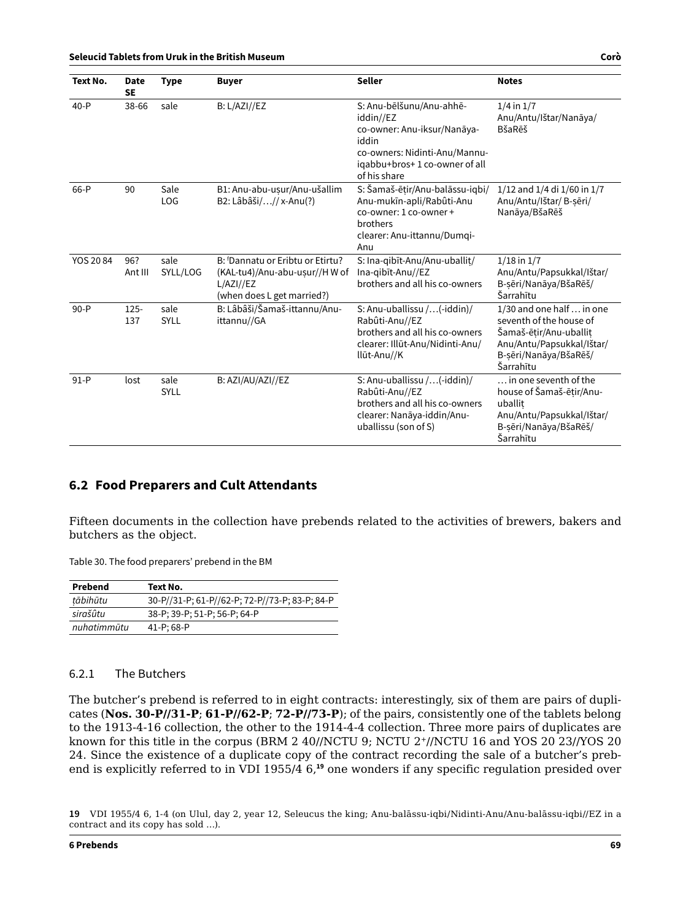| Text No.  | Date<br><b>SE</b> | <b>Type</b>         | <b>Buyer</b>                                                                                                              | <b>Seller</b>                                                                                                                                                   | <b>Notes</b>                                                                                                                                      |
|-----------|-------------------|---------------------|---------------------------------------------------------------------------------------------------------------------------|-----------------------------------------------------------------------------------------------------------------------------------------------------------------|---------------------------------------------------------------------------------------------------------------------------------------------------|
| $40-P$    | 38-66             | sale                | B: L/AZI//EZ                                                                                                              | S: Anu-bēlšunu/Anu-ahhē-<br>iddin//EZ<br>co-owner: Anu-iksur/Nanāya-<br>iddin<br>co-owners: Nidinti-Anu/Mannu-<br>igabbu+bros+1 co-owner of all<br>of his share | $1/4$ in $1/7$<br>Anu/Antu/Ištar/Nanāya/<br><b>BšaRēš</b>                                                                                         |
| 66-P      | 90                | Sale<br>LOG         | B1: Anu-abu-usur/Anu-ušallim<br>B2: Lâbâši/// x-Anu(?)                                                                    | S: Šamaš-ēṭir/Anu-balāssu-iqbi/<br>Anu-mukīn-apli/Rabûti-Anu<br>co-owner: 1 co-owner +<br>brothers<br>clearer: Anu-ittannu/Dumqi-<br>Anu                        | 1/12 and 1/4 di 1/60 in 1/7<br>Anu/Antu/Ištar/ B-sēri/<br>Nanāya/BšaRēš                                                                           |
| YOS 20 84 | 96?<br>Ant III    | sale<br>SYLL/LOG    | B: <sup>f</sup> Dannatu or Eribtu or Etirtu?<br>(KAL-tu4)/Anu-abu-uṣur//H W of<br>L/AZI//EZ<br>(when does L get married?) | S: Ina-qibīt-Anu/Anu-uballit/<br>Ina-gibīt-Anu//EZ<br>brothers and all his co-owners                                                                            | $1/18$ in $1/7$<br>Anu/Antu/Papsukkal/Ištar/<br>B-sēri/Nanāya/BšaRēš/<br>Šarrahītu                                                                |
| $90-P$    | $125 -$<br>137    | sale<br><b>SYLL</b> | B: Lâbâši/Šamaš-ittannu/Anu-<br>ittannu//GA                                                                               | S: Anu-uballissu /(-iddin)/<br>Rabûti-Anu//EZ<br>brothers and all his co-owners<br>clearer: Illūt-Anu/Nidinti-Anu/<br>llūt-Anu//K                               | 1/30 and one half  in one<br>seventh of the house of<br>Šamaš-ētir/Anu-uballit<br>Anu/Antu/Papsukkal/Ištar/<br>B-sēri/Nanāya/BšaRēš/<br>Šarrahītu |
| $91-P$    | lost              | sale<br><b>SYLL</b> | B: AZI/AU/AZI//EZ                                                                                                         | S: Anu-uballissu /(-iddin)/<br>Rabûti-Anu//EZ<br>brothers and all his co-owners<br>clearer: Nanāya-iddin/Anu-<br>uballissu (son of S)                           | $\ldots$ in one seventh of the<br>house of Šamaš-ētir/Anu-<br>uballit<br>Anu/Antu/Papsukkal/Ištar/<br>B-sēri/Nanāya/BšaRēš/<br>Šarrahītu          |

# **6.2 Food Preparers and Cult Attendants**

Fifteen documents in the collection have prebends related to the activities of brewers, bakers and butchers as the object.

Table 30. The food preparers' prebend in the BM

| Prebend     | Text No.                                       |
|-------------|------------------------------------------------|
| tābihūtu    | 30-P//31-P; 61-P//62-P; 72-P//73-P; 83-P; 84-P |
| sirašûtu    | 38-P; 39-P; 51-P; 56-P; 64-P                   |
| nuhatimmūtu | 41-P; 68-P                                     |

#### 6.2.1 The Butchers

The butcher's prebend is referred to in eight contracts: interestingly, six of them are pairs of duplicates (**Nos. 30-P//31-P**; **61-P//62-P**; **72-P//73-P**); of the pairs, consistently one of the tablets belong to the 1913-4-16 collection, the other to the 1914-4-4 collection. Three more pairs of duplicates are known for this title in the corpus (BRM 2 40//NCTU 9; NCTU 2<sup>+</sup>//NCTU 16 and YOS 20 23//YOS 20 24. Since the existence of a duplicate copy of the contract recording the sale of a butcher's prebend is explicitly referred to in VDI 1955/4 6,**<sup>19</sup>** one wonders if any specific regulation presided over

**<sup>19</sup>** VDI 1955/4 6, 1-4 (on Ulul, day 2, year 12, Seleucus the king; Anu-balāssu-iqbi/Nidinti-Anu/Anu-balāssu-iqbi//EZ in a contract and its copy has sold …).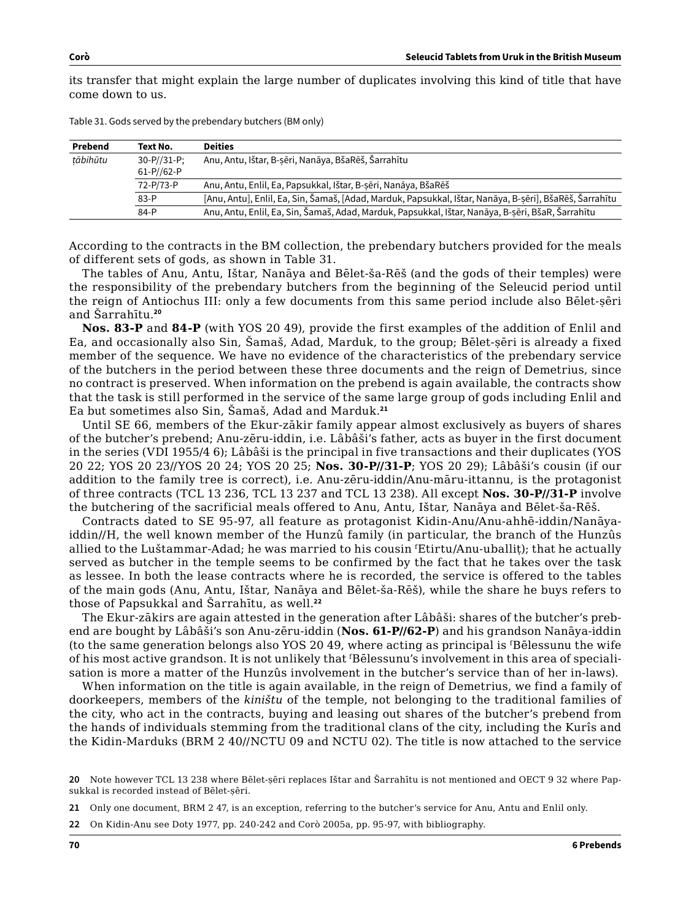its transfer that might explain the large number of duplicates involving this kind of title that have come down to us.

Table 31. Gods served by the prebendary butchers (BM only)

| Prebend  | Text No.                          | <b>Deities</b>                                                                                          |
|----------|-----------------------------------|---------------------------------------------------------------------------------------------------------|
| tābihūtu | $30 - P//31 - P$ :<br>$61-P/62-P$ | Anu, Antu, Ištar, B-sēri, Nanāya, BšaRēš, Šarrahītu                                                     |
|          | 72-P/73-P                         | Anu, Antu, Enlil, Ea, Papsukkal, Ištar, B-șēri, Nanāya, BšaRēš                                          |
|          | $83-P$                            | [Anu, Antu], Enlil, Ea, Sin, Šamaš, [Adad, Marduk, Papsukkal, Ištar, Nanāya, B-sēri], BšaRēš, Šarrahītu |
|          | 84-P                              | Anu, Antu, Enlil, Ea, Sin, Šamaš, Adad, Marduk, Papsukkal, Ištar, Nanāya, B-sēri, BšaR, Šarrahītu       |

According to the contracts in the BM collection, the prebendary butchers provided for the meals of different sets of gods, as shown in Table 31.

The tables of Anu, Antu, Ištar, Nanāya and Bēlet-ša-Rēš (and the gods of their temples) were the responsibility of the prebendary butchers from the beginning of the Seleucid period until the reign of Antiochus III: only a few documents from this same period include also Bēlet-ṣēri and Šarrahītu.**<sup>20</sup>**

**Nos. 83-P** and **84-P** (with YOS 20 49), provide the first examples of the addition of Enlil and Ea, and occasionally also Sin, Šamaš, Adad, Marduk, to the group; Bēlet-ṣēri is already a fixed member of the sequence. We have no evidence of the characteristics of the prebendary service of the butchers in the period between these three documents and the reign of Demetrius, since no contract is preserved. When information on the prebend is again available, the contracts show that the task is still performed in the service of the same large group of gods including Enlil and Ea but sometimes also Sin, Šamaš, Adad and Marduk.**<sup>21</sup>**

Until SE 66, members of the Ekur-zākir family appear almost exclusively as buyers of shares of the butcher's prebend; Anu-zēru-iddin, i.e. Lâbâši's father, acts as buyer in the first document in the series (VDI 1955/4 6); Lâbâši is the principal in five transactions and their duplicates (YOS 20 22; YOS 20 23//YOS 20 24; YOS 20 25; **Nos. 30-P//31-P**; YOS 20 29); Lâbâši's cousin (if our addition to the family tree is correct), i.e. Anu-zēru-iddin/Anu-māru-ittannu, is the protagonist of three contracts (TCL 13 236, TCL 13 237 and TCL 13 238). All except **Nos. 30-P//31-P** involve the butchering of the sacrificial meals offered to Anu, Antu, Ištar, Nanāya and Bēlet-ša-Rēš.

Contracts dated to SE 95-97, all feature as protagonist Kidin-Anu/Anu-ahhē-iddin/Nanāyaiddin//H, the well known member of the Hunzû family (in particular, the branch of the Hunzûs allied to the Luštammar-Adad; he was married to his cousin f Etirtu/Anu-uballiṭ); that he actually served as butcher in the temple seems to be confirmed by the fact that he takes over the task as lessee. In both the lease contracts where he is recorded, the service is offered to the tables of the main gods (Anu, Antu, Ištar, Nanāya and Bēlet-ša-Rēš), while the share he buys refers to those of Papsukkal and Šarrahītu, as well.**<sup>22</sup>**

The Ekur-zākirs are again attested in the generation after Lâbâši: shares of the butcher's prebend are bought by Lâbâši's son Anu-zēru-iddin (**Nos. 61-P//62-P**) and his grandson Nanāya-iddin (to the same generation belongs also YOS 20 49, where acting as principal is f Bēlessunu the wife of his most active grandson. It is not unlikely that f Bēlessunu's involvement in this area of specialisation is more a matter of the Hunzûs involvement in the butcher's service than of her in-laws).

When information on the title is again available, in the reign of Demetrius, we find a family of doorkeepers, members of the *kiništu* of the temple, not belonging to the traditional families of the city, who act in the contracts, buying and leasing out shares of the butcher's prebend from the hands of individuals stemming from the traditional clans of the city, including the Kurîs and the Kidin-Marduks (BRM 2 40//NCTU 09 and NCTU 02). The title is now attached to the service

**22** On Kidin-Anu see Doty 1977, pp. 240-242 and Corò 2005a, pp. 95-97, with bibliography.

**<sup>20</sup>** Note however TCL 13 238 where Bēlet-ṣēri replaces Ištar and Šarrahītu is not mentioned and OECT 9 32 where Papsukkal is recorded instead of Bēlet-ṣēri.

**<sup>21</sup>** Only one document, BRM 2 47, is an exception, referring to the butcher's service for Anu, Antu and Enlil only.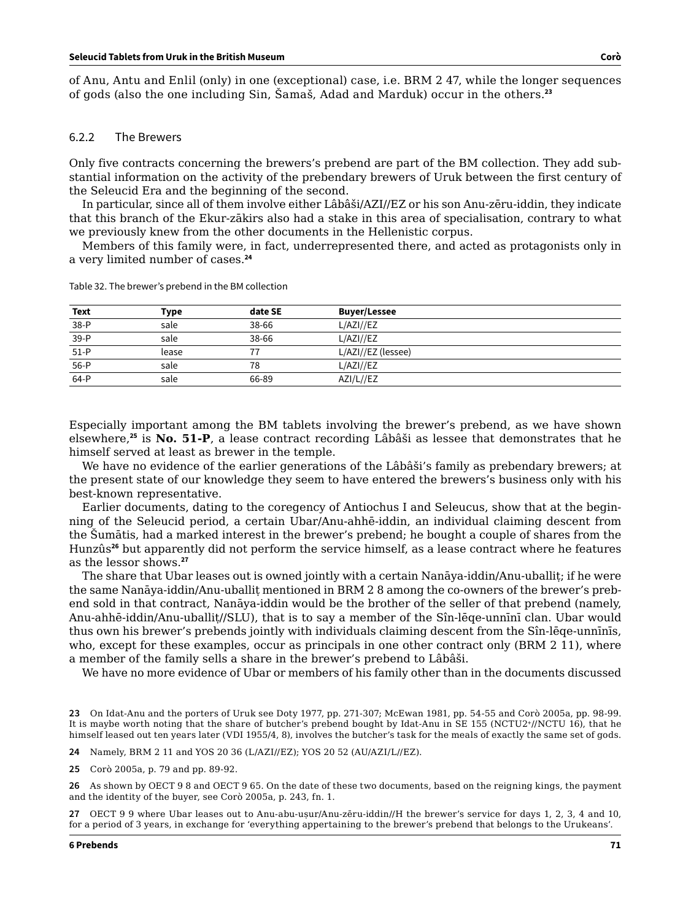of Anu, Antu and Enlil (only) in one (exceptional) case, i.e. BRM 2 47, while the longer sequences of gods (also the one including Sin, Šamaš, Adad and Marduk) occur in the others.**<sup>23</sup>**

#### 6.2.2 The Brewers

Only five contracts concerning the brewers's prebend are part of the BM collection. They add substantial information on the activity of the prebendary brewers of Uruk between the first century of the Seleucid Era and the beginning of the second.

In particular, since all of them involve either Lâbâši/AZI//EZ or his son Anu-zēru-iddin, they indicate that this branch of the Ekur-zākirs also had a stake in this area of specialisation, contrary to what we previously knew from the other documents in the Hellenistic corpus.

Members of this family were, in fact, underrepresented there, and acted as protagonists only in a very limited number of cases.**<sup>24</sup>**

| <b>Text</b>                   | Type  | date SE | <b>Buyer/Lessee</b> |  |
|-------------------------------|-------|---------|---------------------|--|
| $\frac{38-P}{39-P}$           | sale  | 38-66   | L/AZI//EZ           |  |
| the control of the control of | sale  | 38-66   | L/AZI//EZ           |  |
| $51-P$                        | lease |         | L/AZI//EZ (lessee)  |  |
| $\underline{56}$ -P           | sale  | 78      | L/AZI//EZ           |  |
| 64-P                          | sale  | 66-89   | AZI/L//EZ           |  |

Table 32. The brewer's prebend in the BM collection

Especially important among the BM tablets involving the brewer's prebend, as we have shown elsewhere,**<sup>25</sup>** is **No. 51-P**, a lease contract recording Lâbâši as lessee that demonstrates that he himself served at least as brewer in the temple.

We have no evidence of the earlier generations of the Lâbâši's family as prebendary brewers; at the present state of our knowledge they seem to have entered the brewers's business only with his best-known representative.

Earlier documents, dating to the coregency of Antiochus I and Seleucus, show that at the beginning of the Seleucid period, a certain Ubar/Anu-ahhē-iddin, an individual claiming descent from the Šumātis, had a marked interest in the brewer's prebend; he bought a couple of shares from the Hunzûs**<sup>26</sup>** but apparently did not perform the service himself, as a lease contract where he features as the lessor shows.**<sup>27</sup>**

The share that Ubar leases out is owned jointly with a certain Nanāya-iddin/Anu-uballiṭ; if he were the same Nanāya-iddin/Anu-uballiṭ mentioned in BRM 2 8 among the co-owners of the brewer's prebend sold in that contract, Nanāya-iddin would be the brother of the seller of that prebend (namely, Anu-ahhē-iddin/Anu-uballiṭ//SLU), that is to say a member of the Sîn-lēqe-unnīnī clan. Ubar would thus own his brewer's prebends jointly with individuals claiming descent from the Sîn-lēqe-unnīnīs, who, except for these examples, occur as principals in one other contract only (BRM 2 11), where a member of the family sells a share in the brewer's prebend to Lâbâši.

We have no more evidence of Ubar or members of his family other than in the documents discussed

**23** On Idat-Anu and the porters of Uruk see Doty 1977, pp. 271-307; McEwan 1981, pp. 54-55 and Corò 2005a, pp. 98-99. It is maybe worth noting that the share of butcher's prebend bought by Idat-Anu in SE 155 (NCTU2<sup>+</sup>//NCTU 16), that he himself leased out ten years later (VDI 1955/4, 8), involves the butcher's task for the meals of exactly the same set of gods.

**24** Namely, BRM 2 11 and YOS 20 36 (L/AZI//EZ); YOS 20 52 (AU/AZI/L//EZ).

**25** Corò 2005a, p. 79 and pp. 89-92.

**26** As shown by OECT 9 8 and OECT 9 65. On the date of these two documents, based on the reigning kings, the payment and the identity of the buyer, see Corò 2005a, p. 243, fn. 1.

**27** OECT 9 9 where Ubar leases out to Anu-abu-uṣur/Anu-zēru-iddin//H the brewer's service for days 1, 2, 3, 4 and 10, for a period of 3 years, in exchange for 'everything appertaining to the brewer's prebend that belongs to the Urukeans'.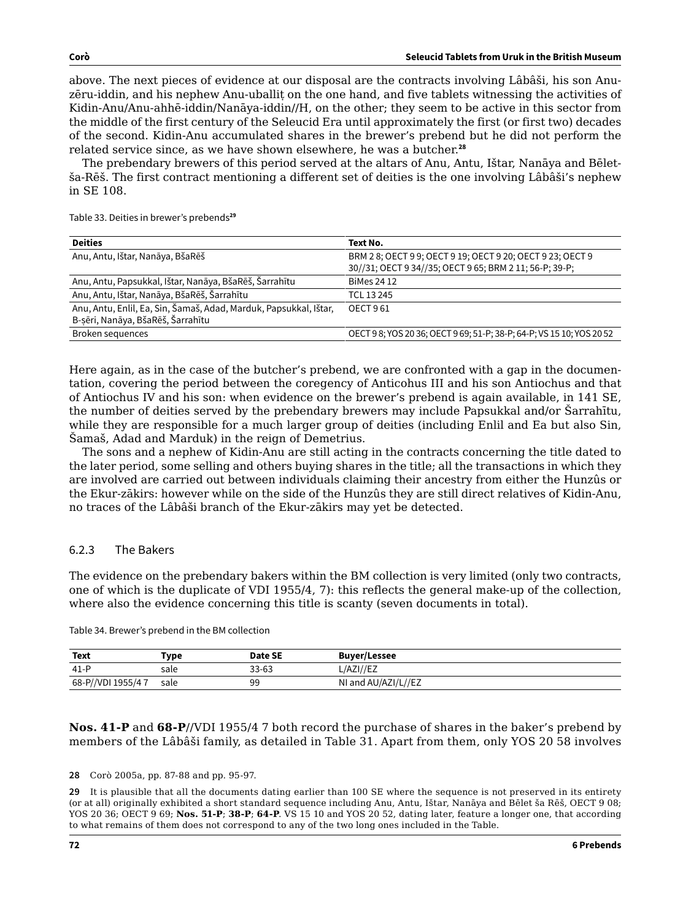above. The next pieces of evidence at our disposal are the contracts involving Lâbâši, his son Anuzēru-iddin, and his nephew Anu-uballiṭ on the one hand, and five tablets witnessing the activities of Kidin-Anu/Anu-ahhē-iddin/Nanāya-iddin//H, on the other; they seem to be active in this sector from the middle of the first century of the Seleucid Era until approximately the first (or first two) decades of the second. Kidin-Anu accumulated shares in the brewer's prebend but he did not perform the related service since, as we have shown elsewhere, he was a butcher.**<sup>28</sup>**

The prebendary brewers of this period served at the altars of Anu, Antu, Ištar, Nanāya and Bēletša-Rēš. The first contract mentioning a different set of deities is the one involving Lâbâši's nephew in SE 108.

Table 33. Deities in brewer's prebends**<sup>29</sup>**

| <b>Deities</b>                                                                                         | Text No.                                                                                                         |
|--------------------------------------------------------------------------------------------------------|------------------------------------------------------------------------------------------------------------------|
| Anu, Antu, Ištar, Nanāya, BšaRēš                                                                       | BRM 28; OECT 99; OECT 919; OECT 920; OECT 923; OECT 9<br>30//31; OECT 9 34//35; OECT 9 65; BRM 2 11; 56-P; 39-P; |
| Anu, Antu, Papsukkal, Ištar, Nanāya, BšaRēš, Šarrahītu                                                 | <b>BiMes 24 12</b>                                                                                               |
| Anu, Antu, Ištar, Nanāya, BšaRēš, Šarrahītu                                                            | TCL 13 245                                                                                                       |
| Anu, Antu, Enlil, Ea, Sin, Šamaš, Adad, Marduk, Papsukkal, Ištar,<br>B-sēri, Nanāya, BšaRēš, Šarrahītu | OFCT 961                                                                                                         |
| Broken sequences                                                                                       | OECT 9 8; YOS 20 36; OECT 9 69; 51-P; 38-P; 64-P; VS 15 10; YOS 20 52                                            |

Here again, as in the case of the butcher's prebend, we are confronted with a gap in the documentation, covering the period between the coregency of Anticohus III and his son Antiochus and that of Antiochus IV and his son: when evidence on the brewer's prebend is again available, in 141 SE, the number of deities served by the prebendary brewers may include Papsukkal and/or Šarrahītu, while they are responsible for a much larger group of deities (including Enlil and Ea but also Sin, Šamaš, Adad and Marduk) in the reign of Demetrius.

The sons and a nephew of Kidin-Anu are still acting in the contracts concerning the title dated to the later period, some selling and others buying shares in the title; all the transactions in which they are involved are carried out between individuals claiming their ancestry from either the Hunzûs or the Ekur-zākirs: however while on the side of the Hunzûs they are still direct relatives of Kidin-Anu, no traces of the Lâbâši branch of the Ekur-zākirs may yet be detected.

# 6.2.3 The Bakers

The evidence on the prebendary bakers within the BM collection is very limited (only two contracts, one of which is the duplicate of VDI 1955/4, 7): this reflects the general make-up of the collection, where also the evidence concerning this title is scanty (seven documents in total).

| Text              | Type | Date SE  | <b>Buyer/Lessee</b> |
|-------------------|------|----------|---------------------|
| 41-P              | sale | 33-63    | L/AZI//EZ           |
| 68-P//VDI 1955/47 | sale | ٩q<br>-- | NI and AU/AZI/L//EZ |

Table 34. Brewer's prebend in the BM collection

**Nos. 41-P** and **68-P**//VDI 1955/4 7 both record the purchase of shares in the baker's prebend by members of the Lâbâši family, as detailed in Table 31. Apart from them, only YOS 20 58 involves

**28** Corò 2005a, pp. 87-88 and pp. 95-97.

**29** It is plausible that all the documents dating earlier than 100 SE where the sequence is not preserved in its entirety (or at all) originally exhibited a short standard sequence including Anu, Antu, Ištar, Nanāya and Bēlet ša Rēš, OECT 9 08; YOS 20 36; OECT 9 69; **Nos. 51-P**; **38-P**; **64-P**. VS 15 10 and YOS 20 52, dating later, feature a longer one, that according to what remains of them does not correspond to any of the two long ones included in the Table.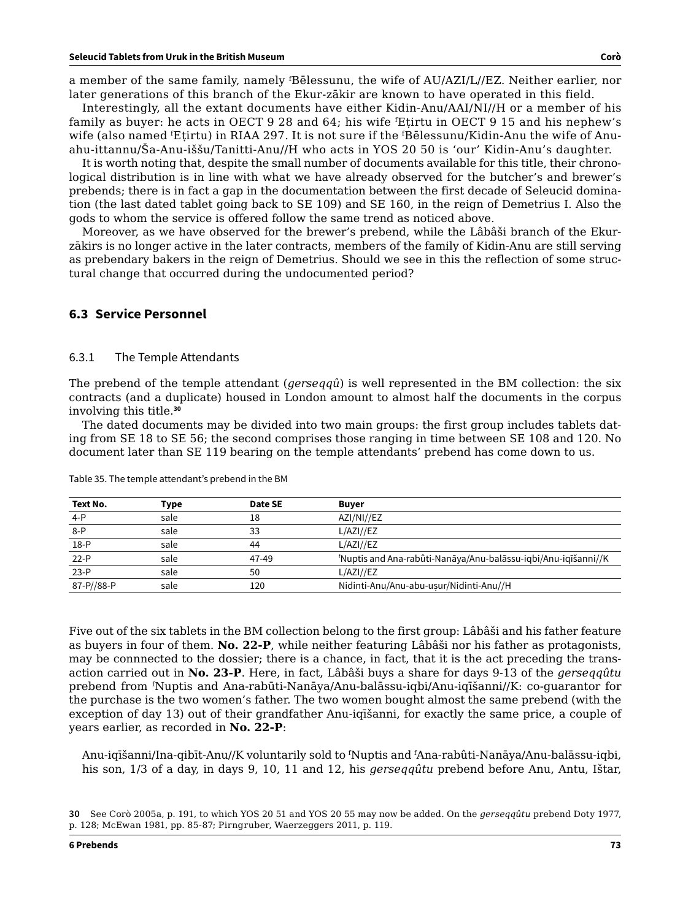a member of the same family, namely f Bēlessunu, the wife of AU/AZI/L//EZ. Neither earlier, nor later generations of this branch of the Ekur-zākir are known to have operated in this field.

Interestingly, all the extant documents have either Kidin-Anu/AAI/NI//H or a member of his family as buyer: he acts in OECT 9 28 and 64; his wife f Eṭirtu in OECT 9 15 and his nephew's wife (also named f Eṭirtu) in RIAA 297. It is not sure if the <sup>f</sup> Bēlessunu/Kidin-Anu the wife of Anuahu-ittannu/Ša-Anu-iššu/Tanitti-Anu//H who acts in YOS 20 50 is 'our' Kidin-Anu's daughter.

It is worth noting that, despite the small number of documents available for this title, their chronological distribution is in line with what we have already observed for the butcher's and brewer's prebends; there is in fact a gap in the documentation between the first decade of Seleucid domination (the last dated tablet going back to SE 109) and SE 160, in the reign of Demetrius I. Also the gods to whom the service is offered follow the same trend as noticed above.

Moreover, as we have observed for the brewer's prebend, while the Lâbâši branch of the Ekurzākirs is no longer active in the later contracts, members of the family of Kidin-Anu are still serving as prebendary bakers in the reign of Demetrius. Should we see in this the reflection of some structural change that occurred during the undocumented period?

# **6.3 Service Personnel**

### 6.3.1 The Temple Attendants

The prebend of the temple attendant (*gerseqqû*) is well represented in the BM collection: the six contracts (and a duplicate) housed in London amount to almost half the documents in the corpus involving this title.**<sup>30</sup>**

The dated documents may be divided into two main groups: the first group includes tablets dating from SE 18 to SE 56; the second comprises those ranging in time between SE 108 and 120. No document later than SE 119 bearing on the temple attendants' prebend has come down to us.

| Text No.   | Type | Date SE | <b>Buver</b>                                                               |
|------------|------|---------|----------------------------------------------------------------------------|
| $4-P$      | sale | 18      | AZI/NI//EZ                                                                 |
| $8-P$      | sale | 33      | L/AZI//EZ                                                                  |
| $18-P$     | sale | 44      | L/AZI//EZ                                                                  |
| $22-P$     | sale | 47-49   | <sup>f</sup> Nuptis and Ana-rabûti-Nanāya/Anu-balāssu-iqbi/Anu-iqīšanni//K |
| $23-P$     | sale | 50      | L/AZI//EZ                                                                  |
| 87-P//88-P | sale | 120     | Nidinti-Anu/Anu-abu-usur/Nidinti-Anu//H                                    |

Table 35. The temple attendant's prebend in the BM

Five out of the six tablets in the BM collection belong to the first group: Lâbâši and his father feature as buyers in four of them. **No. 22-P**, while neither featuring Lâbâši nor his father as protagonists, may be connnected to the dossier; there is a chance, in fact, that it is the act preceding the transaction carried out in **No. 23-P**. Here, in fact, Lâbâši buys a share for days 9-13 of the *gerseqqûtu* prebend from f Nuptis and Ana-rabūti-Nanāya/Anu-balāssu-iqbi/Anu-iqīšanni//K: co-guarantor for the purchase is the two women's father. The two women bought almost the same prebend (with the exception of day 13) out of their grandfather Anu-iqīšanni, for exactly the same price, a couple of years earlier, as recorded in **No. 22-P**:

Anu-iqīšanni/Ina-qibīt-Anu//K voluntarily sold to <sup>f</sup> Nuptis and f Ana-rabûti-Nanāya/Anu-balāssu-iqbi, his son, 1/3 of a day, in days 9, 10, 11 and 12, his *gerseqqûtu* prebend before Anu, Antu, Ištar,

**<sup>30</sup>** See Corò 2005a, p. 191, to which YOS 20 51 and YOS 20 55 may now be added. On the *gerseqqûtu* prebend Doty 1977, p. 128; McEwan 1981, pp. 85-87; Pirngruber, Waerzeggers 2011, p. 119.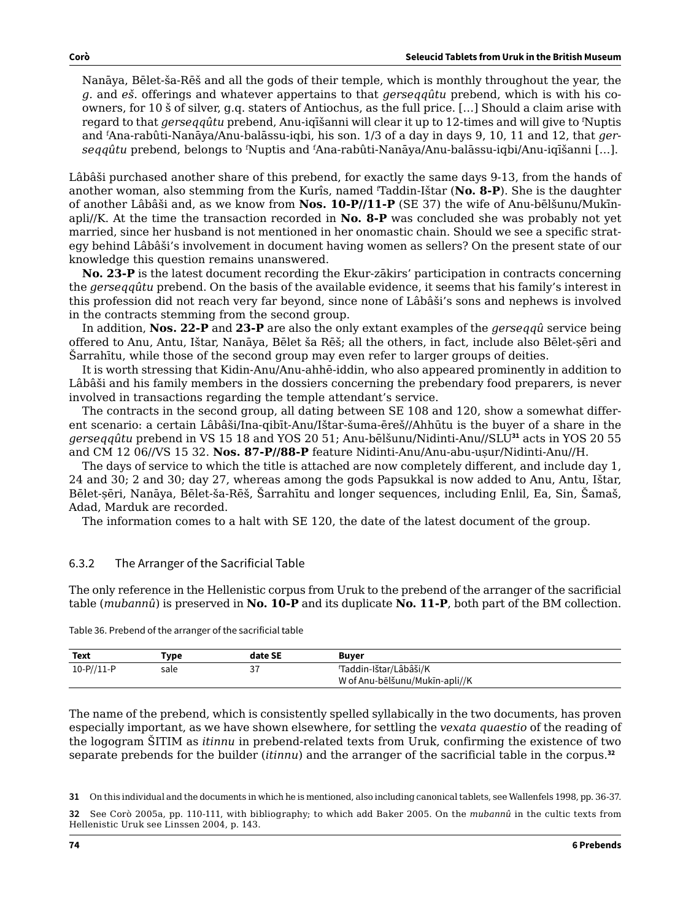Nanāya, Bēlet-ša-Rēš and all the gods of their temple, which is monthly throughout the year, the *g.* and *eš*. offerings and whatever appertains to that *gerseqqûtu* prebend, which is with his coowners, for 10 š of silver, g.q. staters of Antiochus, as the full price. […] Should a claim arise with regard to that *gerseqqûtu* prebend, Anu-iqīšanni will clear it up to 12-times and will give to <sup>f</sup> Nuptis and f Ana-rabûti-Nanāya/Anu-balāssu-iqbi, his son. 1/3 of a day in days 9, 10, 11 and 12, that *gerseqqûtu* prebend, belongs to 'Nuptis and 'Ana-rabûti-Nanāya/Anu-balāssu-iqbi/Anu-iqīšanni […].

Lâbâši purchased another share of this prebend, for exactly the same days 9-13, from the hands of another woman, also stemming from the Kurîs, named <sup>f</sup> Taddin-Ištar (**No. 8-P**). She is the daughter of another Lâbâši and, as we know from **Nos. 10-P//11-P** (SE 37) the wife of Anu-bēlšunu/Mukīnapli//K. At the time the transaction recorded in **No. 8-P** was concluded she was probably not yet married, since her husband is not mentioned in her onomastic chain. Should we see a specific strategy behind Lâbâši's involvement in document having women as sellers? On the present state of our knowledge this question remains unanswered.

**No. 23-P** is the latest document recording the Ekur-zākirs' participation in contracts concerning the *gerseqqûtu* prebend. On the basis of the available evidence, it seems that his family's interest in this profession did not reach very far beyond, since none of Lâbâši's sons and nephews is involved in the contracts stemming from the second group.

In addition, **Nos. 22-P** and **23-P** are also the only extant examples of the *gerseqqû* service being offered to Anu, Antu, Ištar, Nanāya, Bēlet ša Rēš; all the others, in fact, include also Bēlet-ṣēri and Šarrahītu, while those of the second group may even refer to larger groups of deities.

It is worth stressing that Kidin-Anu/Anu-ahhē-iddin, who also appeared prominently in addition to Lâbâši and his family members in the dossiers concerning the prebendary food preparers, is never involved in transactions regarding the temple attendant's service.

The contracts in the second group, all dating between SE 108 and 120, show a somewhat different scenario: a certain Lâbâši/Ina-qibīt-Anu/Ištar-šuma-ēreš//Ahhūtu is the buyer of a share in the *gerseqqûtu* prebend in VS 15 18 and YOS 20 51; Anu-bēlšunu/Nidinti-Anu//SLU**<sup>31</sup>** acts in YOS 20 55 and CM 12 06//VS 15 32. **Nos. 87-P//88-P** feature Nidinti-Anu/Anu-abu-uṣur/Nidinti-Anu//H.

The days of service to which the title is attached are now completely different, and include day 1, 24 and 30; 2 and 30; day 27, whereas among the gods Papsukkal is now added to Anu, Antu, Ištar, Bēlet-ṣēri, Nanāya, Bēlet-ša-Rēš, Šarrahītu and longer sequences, including Enlil, Ea, Sin, Šamaš, Adad, Marduk are recorded.

The information comes to a halt with SE 120, the date of the latest document of the group.

# 6.3.2 The Arranger of the Sacrificial Table

The only reference in the Hellenistic corpus from Uruk to the prebend of the arranger of the sacrificial table (*mubannû*) is preserved in **No. 10-P** and its duplicate **No. 11-P**, both part of the BM collection.

| Text        | Tvpe | date SE | <b>Buver</b>                                             |
|-------------|------|---------|----------------------------------------------------------|
| $10-P/11-P$ | sale | ັ       | fTaddin-Ištar/Lâbâši/K<br>W of Anu-bēlšunu/Mukīn-apli//K |

Table 36. Prebend of the arranger of the sacrificial table

The name of the prebend, which is consistently spelled syllabically in the two documents, has proven especially important, as we have shown elsewhere, for settling the *vexata quaestio* of the reading of the logogram ŠITIM as *itinnu* in prebend-related texts from Uruk, confirming the existence of two separate prebends for the builder (*itinnu*) and the arranger of the sacrificial table in the corpus.**<sup>32</sup>**

**<sup>31</sup>** On this individual and the documents in which he is mentioned, also including canonical tablets, see Wallenfels 1998, pp. 36-37.

**<sup>32</sup>** See Corò 2005a, pp. 110-111, with bibliography; to which add Baker 2005. On the *mubannû* in the cultic texts from Hellenistic Uruk see Linssen 2004, p. 143.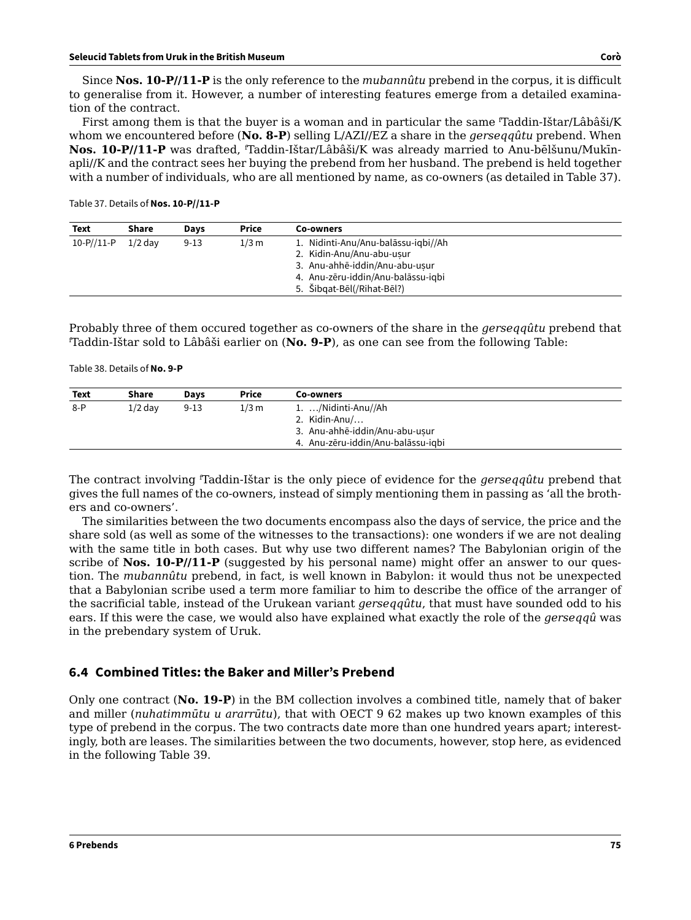Since **Nos. 10-P//11-P** is the only reference to the *mubannûtu* prebend in the corpus, it is difficult to generalise from it. However, a number of interesting features emerge from a detailed examination of the contract.

First among them is that the buyer is a woman and in particular the same f Taddin-Ištar/Lâbâši/K whom we encountered before (**No. 8-P**) selling L/AZI//EZ a share in the *gerseqqûtu* prebend. When **Nos. 10-P//11-P** was drafted, f Taddin-Ištar/Lâbâši/K was already married to Anu-bēlšunu/Mukīnapli//K and the contract sees her buying the prebend from her husband. The prebend is held together with a number of individuals, who are all mentioned by name, as co-owners (as detailed in Table 37).

#### Table 37. Details of **Nos. 10-P//11-P**

| Text               | Share     | Davs     | Price   | Co-owners                                                                                                                                                              |
|--------------------|-----------|----------|---------|------------------------------------------------------------------------------------------------------------------------------------------------------------------------|
| $10 - P // 11 - P$ | $1/2$ dav | $9 - 13$ | $1/3$ m | 1. Nidinti-Anu/Anu-balāssu-igbi//Ah<br>2. Kidin-Anu/Anu-abu-usur<br>3. Anu-ahhē-iddin/Anu-abu-usur<br>4. Anu-zēru-iddin/Anu-balāssu-igbi<br>5. Šibgat-Bēl(/Rihat-Bēl?) |
|                    |           |          |         |                                                                                                                                                                        |

Probably three of them occured together as co-owners of the share in the *gerseqqûtu* prebend that f Taddin-Ištar sold to Lâbâši earlier on (**No. 9-P**), as one can see from the following Table:

#### Table 38. Details of **No. 9-P**

| <b>Text</b> | Share     | <b>Davs</b> | <b>Price</b> | Co-owners                          |  |
|-------------|-----------|-------------|--------------|------------------------------------|--|
| $8-P$       | $1/2$ day | $9 - 13$    | $1/3$ m      | 1. /Nidinti-Anu//Ah                |  |
|             |           |             |              | 2. Kidin-Anu/ $\ldots$             |  |
|             |           |             |              | 3. Anu-ahhē-iddin/Anu-abu-usur     |  |
|             |           |             |              | 4. Anu-zēru-iddin/Anu-balāssu-igbi |  |

The contract involving f Taddin-Ištar is the only piece of evidence for the *gerseqqûtu* prebend that gives the full names of the co-owners, instead of simply mentioning them in passing as 'all the brothers and co-owners'.

The similarities between the two documents encompass also the days of service, the price and the share sold (as well as some of the witnesses to the transactions): one wonders if we are not dealing with the same title in both cases. But why use two different names? The Babylonian origin of the scribe of **Nos. 10-P//11-P** (suggested by his personal name) might offer an answer to our question. The *mubannûtu* prebend, in fact, is well known in Babylon: it would thus not be unexpected that a Babylonian scribe used a term more familiar to him to describe the office of the arranger of the sacrificial table, instead of the Urukean variant *gerseqqûtu*, that must have sounded odd to his ears. If this were the case, we would also have explained what exactly the role of the *gerseqqû* was in the prebendary system of Uruk.

# **6.4 Combined Titles: the Baker and Miller's Prebend**

Only one contract (**No. 19-P**) in the BM collection involves a combined title, namely that of baker and miller (*nuhatimmūtu u ararrūtu*), that with OECT 9 62 makes up two known examples of this type of prebend in the corpus. The two contracts date more than one hundred years apart; interestingly, both are leases. The similarities between the two documents, however, stop here, as evidenced in the following Table 39.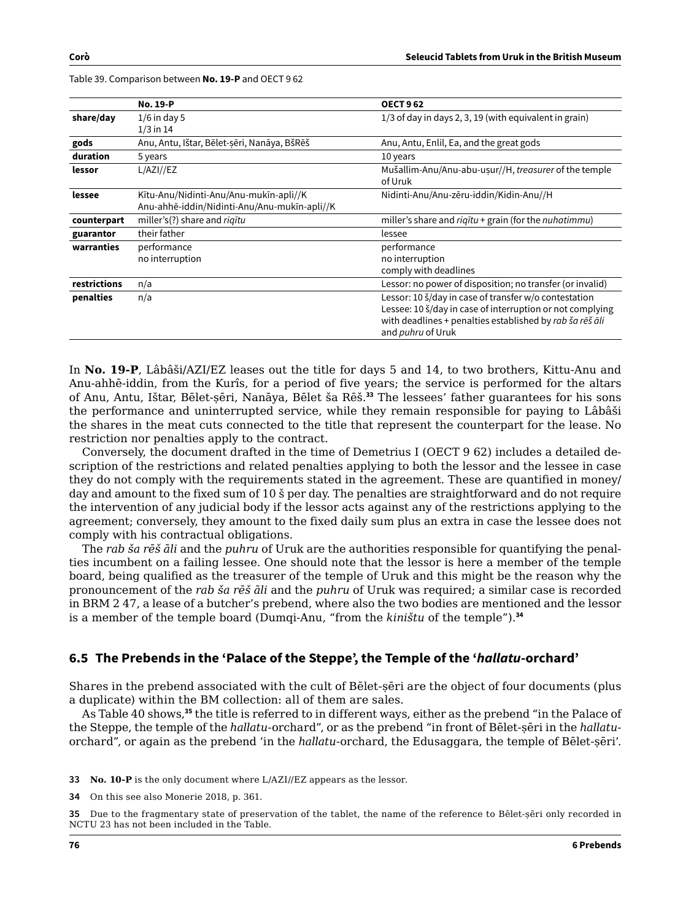|              | <b>No. 19-P</b>                                                                        | <b>OECT 962</b>                                                                                                                                                                                            |  |  |
|--------------|----------------------------------------------------------------------------------------|------------------------------------------------------------------------------------------------------------------------------------------------------------------------------------------------------------|--|--|
| share/day    | $1/6$ in day 5<br>$1/3$ in 14                                                          | 1/3 of day in days 2, 3, 19 (with equivalent in grain)                                                                                                                                                     |  |  |
| gods         | Anu, Antu, Ištar, Bēlet-sēri, Nanāya, BšRēš                                            | Anu, Antu, Enlil, Ea, and the great gods                                                                                                                                                                   |  |  |
| duration     | 5 years                                                                                | 10 years                                                                                                                                                                                                   |  |  |
| lessor       | L/AZI//EZ                                                                              | Mušallim-Anu/Anu-abu-usur//H, treasurer of the temple<br>of Uruk                                                                                                                                           |  |  |
| lessee       | Kītu-Anu/Nidinti-Anu/Anu-mukīn-apli//K<br>Anu-ahhē-iddin/Nidinti-Anu/Anu-mukīn-apli//K | Nidinti-Anu/Anu-zēru-iddin/Kidin-Anu//H                                                                                                                                                                    |  |  |
| counterpart  | miller's(?) share and rigitu                                                           | miller's share and rigitu + grain (for the <i>nuhatimmu</i> )                                                                                                                                              |  |  |
| guarantor    | their father                                                                           | lessee                                                                                                                                                                                                     |  |  |
| warranties   | performance<br>no interruption                                                         | performance<br>no interruption<br>comply with deadlines                                                                                                                                                    |  |  |
| restrictions | n/a                                                                                    | Lessor: no power of disposition; no transfer (or invalid)                                                                                                                                                  |  |  |
| penalties    | n/a                                                                                    | Lessor: 10 š/day in case of transfer w/o contestation<br>Lessee: 10 š/day in case of interruption or not complying<br>with deadlines + penalties established by rab ša rēš āli<br>and <i>puhru</i> of Uruk |  |  |

Table 39. Comparison between **No. 19-P** and OECT 9 62

In **No. 19-P**, Lâbâši/AZI/EZ leases out the title for days 5 and 14, to two brothers, Kittu-Anu and Anu-ahhē-iddin, from the Kurîs, for a period of five years; the service is performed for the altars of Anu, Antu, Ištar, Bēlet-ṣēri, Nanāya, Bēlet ša Rēš.**<sup>33</sup>** The lessees' father guarantees for his sons the performance and uninterrupted service, while they remain responsible for paying to Lâbâši the shares in the meat cuts connected to the title that represent the counterpart for the lease. No restriction nor penalties apply to the contract.

Conversely, the document drafted in the time of Demetrius I (OECT 9 62) includes a detailed description of the restrictions and related penalties applying to both the lessor and the lessee in case they do not comply with the requirements stated in the agreement. These are quantified in money/ day and amount to the fixed sum of 10 š per day. The penalties are straightforward and do not require the intervention of any judicial body if the lessor acts against any of the restrictions applying to the agreement; conversely, they amount to the fixed daily sum plus an extra in case the lessee does not comply with his contractual obligations.

The *rab ša rēš āli* and the *puhru* of Uruk are the authorities responsible for quantifying the penalties incumbent on a failing lessee. One should note that the lessor is here a member of the temple board, being qualified as the treasurer of the temple of Uruk and this might be the reason why the pronouncement of the *rab ša rēš āli* and the *puhru* of Uruk was required; a similar case is recorded in BRM 2 47, a lease of a butcher's prebend, where also the two bodies are mentioned and the lessor is a member of the temple board (Dumqi-Anu, "from the *kiništu* of the temple").**<sup>34</sup>**

# **6.5 The Prebends in the 'Palace of the Steppe', the Temple of the '***hallatu***-orchard'**

Shares in the prebend associated with the cult of Bēlet-ṣēri are the object of four documents (plus a duplicate) within the BM collection: all of them are sales.

As Table 40 shows,**<sup>35</sup>** the title is referred to in different ways, either as the prebend "in the Palace of the Steppe, the temple of the *hallatu*-orchard", or as the prebend "in front of Bēlet-ṣēri in the *hallatu*orchard", or again as the prebend 'in the *hallatu*-orchard, the Edusaggara, the temple of Bēlet-ṣēri'.

**33 No. 10-P** is the only document where L/AZI//EZ appears as the lessor.

**34** On this see also Monerie 2018, p. 361.

**35** Due to the fragmentary state of preservation of the tablet, the name of the reference to Bēlet-ṣēri only recorded in NCTU 23 has not been included in the Table.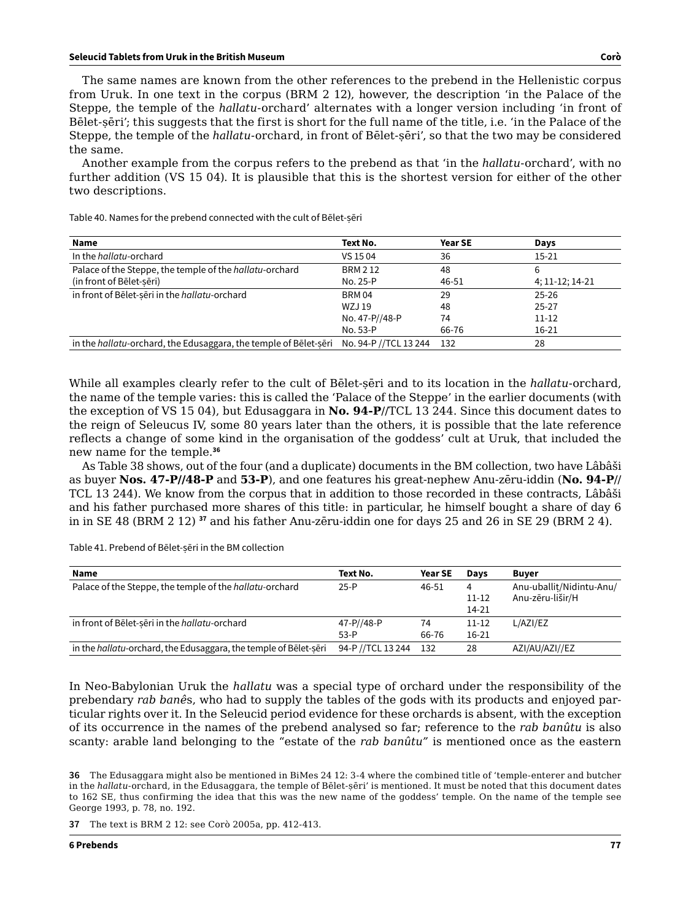#### **Seleucid Tablets from Uruk in the British Museum Corò**

The same names are known from the other references to the prebend in the Hellenistic corpus from Uruk. In one text in the corpus (BRM 2 12), however, the description 'in the Palace of the Steppe, the temple of the *hallatu*-orchard' alternates with a longer version including 'in front of Bēlet-ṣēri'; this suggests that the first is short for the full name of the title, i.e. 'in the Palace of the Steppe, the temple of the *hallatu*-orchard, in front of Bēlet-ṣēri', so that the two may be considered the same.

Another example from the corpus refers to the prebend as that 'in the *hallatu*-orchard', with no further addition (VS 15 04). It is plausible that this is the shortest version for either of the other two descriptions.

| <b>Name</b>                                                      | Text No.              | <b>Year SE</b> | Days            |
|------------------------------------------------------------------|-----------------------|----------------|-----------------|
| In the <i>hallatu</i> -orchard                                   | VS 1504               | 36             | $15 - 21$       |
| Palace of the Steppe, the temple of the hallatu-orchard          | <b>BRM 212</b>        | 48             | 6               |
| (in front of Belet-seri)                                         | No. 25-P              | 46-51          | 4; 11-12; 14-21 |
| in front of Bēlet-sēri in the hallatu-orchard                    | <b>BRM 04</b>         | 29             | $25 - 26$       |
|                                                                  | WZJ 19                | 48             | $25 - 27$       |
|                                                                  | No. 47-P//48-P        | 74             | $11 - 12$       |
|                                                                  | No. 53-P              | 66-76          | 16-21           |
| in the hallatu-orchard, the Edusaggara, the temple of Belet-seri | No. 94-P //TCL 13 244 | 132            | 28              |

Table 40. Names for the prebend connected with the cult of Bēlet-sēri

While all examples clearly refer to the cult of Bēlet-ṣēri and to its location in the *hallatu*-orchard, the name of the temple varies: this is called the 'Palace of the Steppe' in the earlier documents (with the exception of VS 15 04), but Edusaggara in **No. 94-P**//TCL 13 244. Since this document dates to the reign of Seleucus IV, some 80 years later than the others, it is possible that the late reference reflects a change of some kind in the organisation of the goddess' cult at Uruk, that included the new name for the temple.**<sup>36</sup>**

As Table 38 shows, out of the four (and a duplicate) documents in the BM collection, two have Lâbâši as buyer **Nos. 47-P//48-P** and **53-P**), and one features his great-nephew Anu-zēru-iddin (**No. 94-P**// TCL 13 244). We know from the corpus that in addition to those recorded in these contracts, Lâbâši and his father purchased more shares of this title: in particular, he himself bought a share of day 6 in in SE 48 (BRM 2 12) **<sup>37</sup>** and his father Anu-zēru-iddin one for days 25 and 26 in SE 29 (BRM 2 4).

Table 41. Prebend of Bēlet-ṣēri in the BM collection

| <b>Name</b>                                                              | Text No.          | <b>Year SE</b> | <b>Davs</b> | <b>Buver</b>             |
|--------------------------------------------------------------------------|-------------------|----------------|-------------|--------------------------|
| Palace of the Steppe, the temple of the <i>hallatu</i> -orchard          | $25-P$            | 46-51          | 4           | Anu-uballit/Nidintu-Anu/ |
|                                                                          |                   |                | $11 - 12$   | Anu-zēru-lišir/H         |
|                                                                          |                   |                | 14-21       |                          |
| in front of Belet-seri in the hallatu-orchard                            | 47-P//48-P        | 74             | $11 - 12$   | L/AZI/EZ                 |
|                                                                          | $53-P$            | 66-76          | $16-21$     |                          |
| in the <i>hallatu</i> -orchard, the Edusaggara, the temple of Belet-seri | 94-P //TCL 13 244 | 132            | 28          | AZI/AU/AZI//EZ           |

In Neo-Babylonian Uruk the *hallatu* was a special type of orchard under the responsibility of the prebendary *rab banê*s, who had to supply the tables of the gods with its products and enjoyed particular rights over it. In the Seleucid period evidence for these orchards is absent, with the exception of its occurrence in the names of the prebend analysed so far; reference to the *rab banûtu* is also scanty: arable land belonging to the "estate of the *rab banûtu"* is mentioned once as the eastern

**36** The Edusaggara might also be mentioned in BiMes 24 12: 3-4 where the combined title of 'temple-enterer and butcher in the *hallatu*-orchard, in the Edusaggara, the temple of Bēlet-ṣēri' is mentioned. It must be noted that this document dates to 162 SE, thus confirming the idea that this was the new name of the goddess' temple. On the name of the temple see George 1993, p. 78, no. 192.

**37** The text is BRM 2 12: see Corò 2005a, pp. 412-413.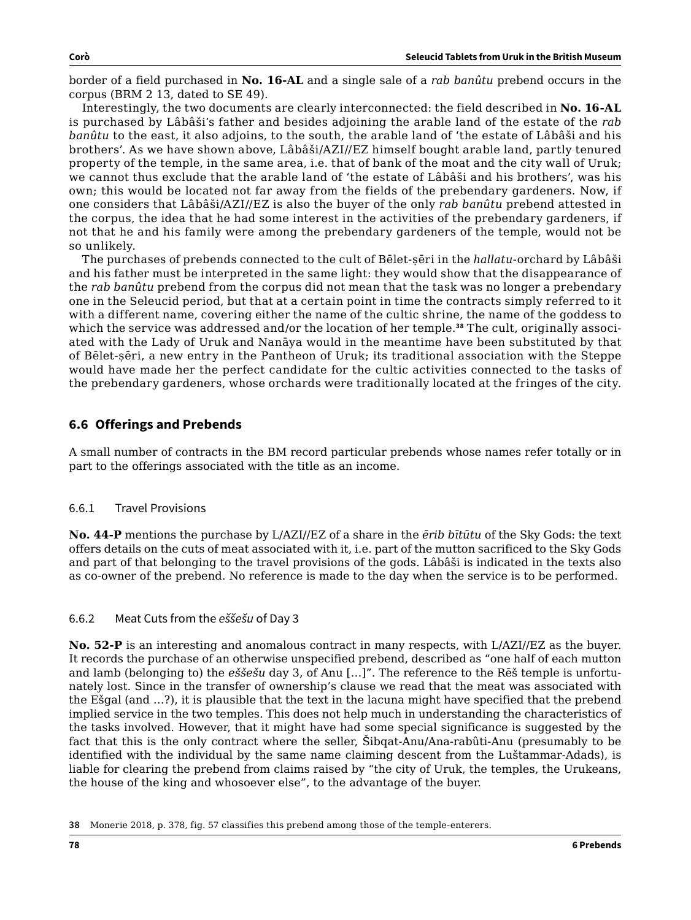border of a field purchased in **No. 16-AL** and a single sale of a *rab banûtu* prebend occurs in the corpus (BRM 2 13, dated to SE 49).

Interestingly, the two documents are clearly interconnected: the field described in **No. 16-AL** is purchased by Lâbâši's father and besides adjoining the arable land of the estate of the *rab banûtu* to the east, it also adjoins, to the south, the arable land of 'the estate of Lâbâši and his brothers'. As we have shown above, Lâbâši/AZI//EZ himself bought arable land, partly tenured property of the temple, in the same area, i.e. that of bank of the moat and the city wall of Uruk; we cannot thus exclude that the arable land of 'the estate of Lâbâši and his brothers', was his own; this would be located not far away from the fields of the prebendary gardeners. Now, if one considers that Lâbâši/AZI//EZ is also the buyer of the only *rab banûtu* prebend attested in the corpus, the idea that he had some interest in the activities of the prebendary gardeners, if not that he and his family were among the prebendary gardeners of the temple, would not be so unlikely.

The purchases of prebends connected to the cult of Bēlet-ṣēri in the *hallatu*-orchard by Lâbâši and his father must be interpreted in the same light: they would show that the disappearance of the *rab banûtu* prebend from the corpus did not mean that the task was no longer a prebendary one in the Seleucid period, but that at a certain point in time the contracts simply referred to it with a different name, covering either the name of the cultic shrine, the name of the goddess to which the service was addressed and/or the location of her temple.**38** The cult, originally associated with the Lady of Uruk and Nanāya would in the meantime have been substituted by that of Bēlet-ṣēri, a new entry in the Pantheon of Uruk; its traditional association with the Steppe would have made her the perfect candidate for the cultic activities connected to the tasks of the prebendary gardeners, whose orchards were traditionally located at the fringes of the city.

# **6.6 Offerings and Prebends**

A small number of contracts in the BM record particular prebends whose names refer totally or in part to the offerings associated with the title as an income.

#### 6.6.1 Travel Provisions

**No. 44-P** mentions the purchase by L/AZI//EZ of a share in the *ērib bītūtu* of the Sky Gods: the text offers details on the cuts of meat associated with it, i.e. part of the mutton sacrificed to the Sky Gods and part of that belonging to the travel provisions of the gods. Lâbâši is indicated in the texts also as co-owner of the prebend. No reference is made to the day when the service is to be performed.

#### 6.6.2 Meat Cuts from the *eššešu* of Day 3

**No. 52-P** is an interesting and anomalous contract in many respects, with L/AZI//EZ as the buyer. It records the purchase of an otherwise unspecified prebend, described as "one half of each mutton and lamb (belonging to) the *eššešu* day 3, of Anu […]". The reference to the Rēš temple is unfortunately lost. Since in the transfer of ownership's clause we read that the meat was associated with the Ešgal (and …?), it is plausible that the text in the lacuna might have specified that the prebend implied service in the two temples. This does not help much in understanding the characteristics of the tasks involved. However, that it might have had some special significance is suggested by the fact that this is the only contract where the seller, Šibqat-Anu/Ana-rabûti-Anu (presumably to be identified with the individual by the same name claiming descent from the Luštammar-Adads), is liable for clearing the prebend from claims raised by "the city of Uruk, the temples, the Urukeans, the house of the king and whosoever else", to the advantage of the buyer.

**<sup>38</sup>** Monerie 2018, p. 378, fig. 57 classifies this prebend among those of the temple-enterers.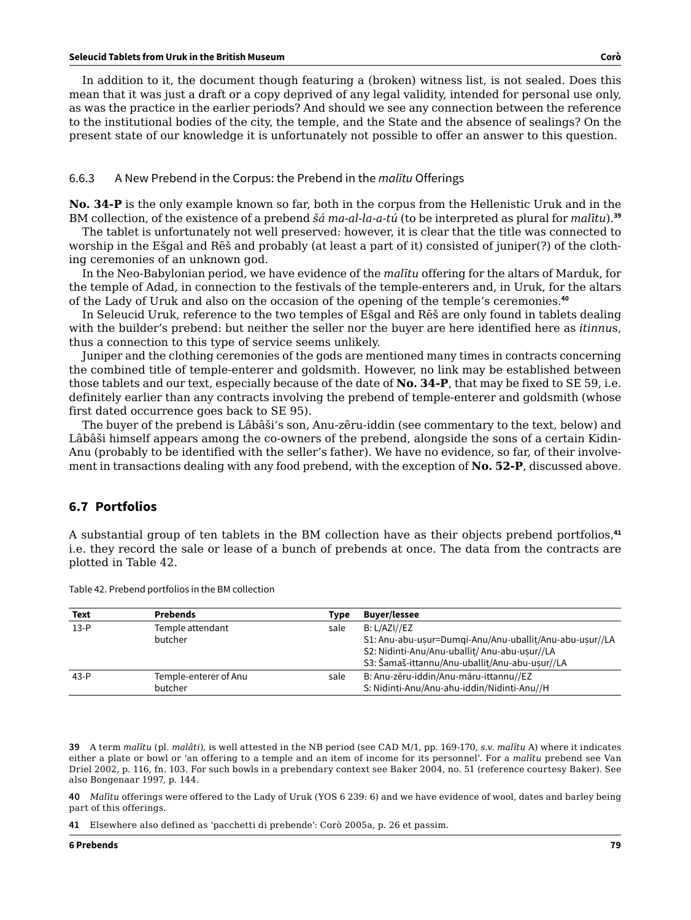#### **Seleucid Tablets from Uruk in the British Museum Corò**

In addition to it, the document though featuring a (broken) witness list, is not sealed. Does this mean that it was just a draft or a copy deprived of any legal validity, intended for personal use only, as was the practice in the earlier periods? And should we see any connection between the reference to the institutional bodies of the city, the temple, and the State and the absence of sealings? On the present state of our knowledge it is unfortunately not possible to offer an answer to this question.

### 6.6.3 A New Prebend in the Corpus: the Prebend in the *malītu* Offerings

**No. 34-P** is the only example known so far, both in the corpus from the Hellenistic Uruk and in the BM collection, of the existence of a prebend *šá ma-al-la-a-tú* (to be interpreted as plural for *malītu*).**<sup>39</sup>**

The tablet is unfortunately not well preserved: however, it is clear that the title was connected to worship in the Ešgal and Rēš and probably (at least a part of it) consisted of juniper(?) of the clothing ceremonies of an unknown god.

In the Neo-Babylonian period, we have evidence of the *malītu* offering for the altars of Marduk, for the temple of Adad, in connection to the festivals of the temple-enterers and, in Uruk, for the altars of the Lady of Uruk and also on the occasion of the opening of the temple's ceremonies.**<sup>40</sup>**

In Seleucid Uruk, reference to the two temples of Ešgal and Rēš are only found in tablets dealing with the builder's prebend: but neither the seller nor the buyer are here identified here as *itinnu*s, thus a connection to this type of service seems unlikely.

Juniper and the clothing ceremonies of the gods are mentioned many times in contracts concerning the combined title of temple-enterer and goldsmith. However, no link may be established between those tablets and our text, especially because of the date of **No. 34-P**, that may be fixed to SE 59, i.e. definitely earlier than any contracts involving the prebend of temple-enterer and goldsmith (whose first dated occurrence goes back to SE 95).

The buyer of the prebend is Lâbâši's son, Anu-zēru-iddin (see commentary to the text, below) and Lâbâši himself appears among the co-owners of the prebend, alongside the sons of a certain Kidin-Anu (probably to be identified with the seller's father). We have no evidence, so far, of their involvement in transactions dealing with any food prebend, with the exception of **No. 52-P**, discussed above.

# **6.7 Portfolios**

A substantial group of ten tablets in the BM collection have as their objects prebend portfolios,**<sup>41</sup>** i.e. they record the sale or lease of a bunch of prebends at once. The data from the contracts are plotted in Table 42.

| Text   | <b>Prebends</b>                  | Type | <b>Buyer/lessee</b>                                                                                                                                                        |
|--------|----------------------------------|------|----------------------------------------------------------------------------------------------------------------------------------------------------------------------------|
| $13-P$ | Temple attendant<br>butcher      | sale | B: L/AZI//EZ<br>S1: Anu-abu-usur=Dumgi-Anu/Anu-uballit/Anu-abu-usur//LA<br>S2: Nidinti-Anu/Anu-uballit/ Anu-abu-usur//LA<br>S3: Šamaš-ittannu/Anu-uballit/Anu-abu-uṣur//LA |
| 43-P   | Temple-enterer of Anu<br>butcher | sale | B: Anu-zēru-iddin/Anu-māru-ittannu//EZ<br>S: Nidinti-Anu/Anu-ahu-iddin/Nidinti-Anu//H                                                                                      |

Table 42. Prebend portfolios in the BM collection

**39** A term *malītu* (pl. *malâti*), is well attested in the NB period (see CAD M/1, pp. 169-170, *s.v. malītu* A) where it indicates either a plate or bowl or 'an offering to a temple and an item of income for its personnel'. For a *malītu* prebend see Van Driel 2002, p. 116, fn. 103. For such bowls in a prebendary context see Baker 2004, no. 51 (reference courtesy Baker). See also Bongenaar 1997, p. 144.

**40** *Malītu* offerings were offered to the Lady of Uruk (YOS 6 239: 6) and we have evidence of wool, dates and barley being part of this offerings.

**41** Elsewhere also defined as 'pacchetti di prebende': Corò 2005a, p. 26 et passim.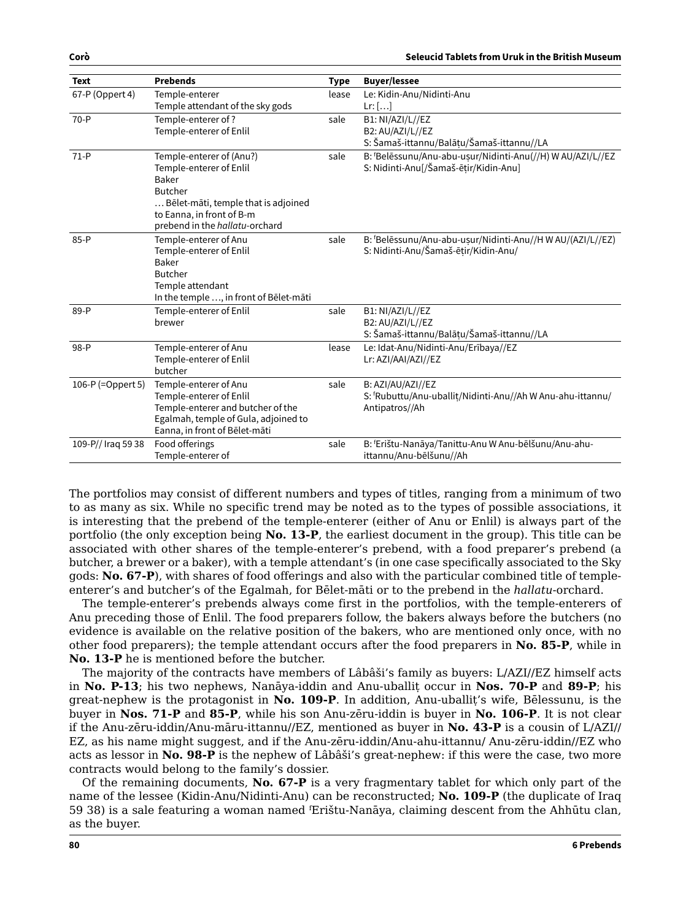| 67-P (Oppert 4)<br>Temple-enterer<br>Le: Kidin-Anu/Nidinti-Anu<br>lease<br>Temple attendant of the sky gods<br>$Lr:$ $\left[ \ldots \right]$<br>$70-P$<br>Temple-enterer of?<br>sale<br>B1: NI/AZI/L//EZ<br>Temple-enterer of Enlil<br>B2: AU/AZI/L//EZ<br>S: Šamaš-ittannu/Balāțu/Šamaš-ittannu//LA<br>B: 'Belēssunu/Anu-abu-uṣur/Nidinti-Anu(//H) W AU/AZI/L//EZ<br>Temple-enterer of (Anu?)<br>$71-P$<br>sale<br>S: Nidinti-Anu[/Šamaš-ētir/Kidin-Anu]<br>Temple-enterer of Enlil<br>Baker<br><b>Butcher</b><br>Bēlet-māti, temple that is adjoined<br>to Eanna, in front of B-m<br>prebend in the hallatu-orchard<br>B: 'Belēssunu/Anu-abu-uṣur/Nidinti-Anu//H W AU/(AZI/L//EZ)<br>$85-P$<br>Temple-enterer of Anu<br>sale<br>Temple-enterer of Enlil<br>S: Nidinti-Anu/Šamaš-ētir/Kidin-Anu/<br>Baker<br><b>Butcher</b><br>Temple attendant<br>In the temple , in front of Bēlet-māti<br>Temple-enterer of Enlil<br>89-P<br>sale<br>B1: NI/AZI/L//EZ<br>B2: AU/AZI/L//EZ<br>brewer<br>S: Šamaš-ittannu/Balāṭu/Šamaš-ittannu//LA<br>98-P<br>Temple-enterer of Anu<br>Le: Idat-Anu/Nidinti-Anu/Erībaya//EZ<br>lease<br>Temple-enterer of Enlil<br>Lr: AZI/AAI/AZI//EZ<br>butcher<br>106-P $(=0$ ppert 5)<br>Temple-enterer of Anu<br>sale<br>B: AZI/AU/AZI//EZ<br>Temple-enterer of Enlil<br>S: 'Rubuttu/Anu-uballit/Nidinti-Anu//Ah W Anu-ahu-ittannu/<br>Temple-enterer and butcher of the<br>Antipatros//Ah<br>Egalmah, temple of Gula, adjoined to<br>Eanna, in front of Bēlet-māti<br>Food offerings<br>B: Erištu-Nanāya/Tanittu-Anu W Anu-bēlšunu/Anu-ahu-<br>109-P// Iraq 59 38<br>sale | <b>Text</b> | <b>Prebends</b>   | <b>Type</b> | <b>Buyer/lessee</b>     |
|---------------------------------------------------------------------------------------------------------------------------------------------------------------------------------------------------------------------------------------------------------------------------------------------------------------------------------------------------------------------------------------------------------------------------------------------------------------------------------------------------------------------------------------------------------------------------------------------------------------------------------------------------------------------------------------------------------------------------------------------------------------------------------------------------------------------------------------------------------------------------------------------------------------------------------------------------------------------------------------------------------------------------------------------------------------------------------------------------------------------------------------------------------------------------------------------------------------------------------------------------------------------------------------------------------------------------------------------------------------------------------------------------------------------------------------------------------------------------------------------------------------------------------------------------------------------------------------------------|-------------|-------------------|-------------|-------------------------|
|                                                                                                                                                                                                                                                                                                                                                                                                                                                                                                                                                                                                                                                                                                                                                                                                                                                                                                                                                                                                                                                                                                                                                                                                                                                                                                                                                                                                                                                                                                                                                                                                   |             |                   |             |                         |
|                                                                                                                                                                                                                                                                                                                                                                                                                                                                                                                                                                                                                                                                                                                                                                                                                                                                                                                                                                                                                                                                                                                                                                                                                                                                                                                                                                                                                                                                                                                                                                                                   |             |                   |             |                         |
|                                                                                                                                                                                                                                                                                                                                                                                                                                                                                                                                                                                                                                                                                                                                                                                                                                                                                                                                                                                                                                                                                                                                                                                                                                                                                                                                                                                                                                                                                                                                                                                                   |             |                   |             |                         |
|                                                                                                                                                                                                                                                                                                                                                                                                                                                                                                                                                                                                                                                                                                                                                                                                                                                                                                                                                                                                                                                                                                                                                                                                                                                                                                                                                                                                                                                                                                                                                                                                   |             |                   |             |                         |
|                                                                                                                                                                                                                                                                                                                                                                                                                                                                                                                                                                                                                                                                                                                                                                                                                                                                                                                                                                                                                                                                                                                                                                                                                                                                                                                                                                                                                                                                                                                                                                                                   |             |                   |             |                         |
|                                                                                                                                                                                                                                                                                                                                                                                                                                                                                                                                                                                                                                                                                                                                                                                                                                                                                                                                                                                                                                                                                                                                                                                                                                                                                                                                                                                                                                                                                                                                                                                                   |             |                   |             |                         |
|                                                                                                                                                                                                                                                                                                                                                                                                                                                                                                                                                                                                                                                                                                                                                                                                                                                                                                                                                                                                                                                                                                                                                                                                                                                                                                                                                                                                                                                                                                                                                                                                   |             |                   |             |                         |
|                                                                                                                                                                                                                                                                                                                                                                                                                                                                                                                                                                                                                                                                                                                                                                                                                                                                                                                                                                                                                                                                                                                                                                                                                                                                                                                                                                                                                                                                                                                                                                                                   |             |                   |             |                         |
|                                                                                                                                                                                                                                                                                                                                                                                                                                                                                                                                                                                                                                                                                                                                                                                                                                                                                                                                                                                                                                                                                                                                                                                                                                                                                                                                                                                                                                                                                                                                                                                                   |             |                   |             |                         |
|                                                                                                                                                                                                                                                                                                                                                                                                                                                                                                                                                                                                                                                                                                                                                                                                                                                                                                                                                                                                                                                                                                                                                                                                                                                                                                                                                                                                                                                                                                                                                                                                   |             |                   |             |                         |
|                                                                                                                                                                                                                                                                                                                                                                                                                                                                                                                                                                                                                                                                                                                                                                                                                                                                                                                                                                                                                                                                                                                                                                                                                                                                                                                                                                                                                                                                                                                                                                                                   |             |                   |             |                         |
|                                                                                                                                                                                                                                                                                                                                                                                                                                                                                                                                                                                                                                                                                                                                                                                                                                                                                                                                                                                                                                                                                                                                                                                                                                                                                                                                                                                                                                                                                                                                                                                                   |             |                   |             |                         |
|                                                                                                                                                                                                                                                                                                                                                                                                                                                                                                                                                                                                                                                                                                                                                                                                                                                                                                                                                                                                                                                                                                                                                                                                                                                                                                                                                                                                                                                                                                                                                                                                   |             |                   |             |                         |
|                                                                                                                                                                                                                                                                                                                                                                                                                                                                                                                                                                                                                                                                                                                                                                                                                                                                                                                                                                                                                                                                                                                                                                                                                                                                                                                                                                                                                                                                                                                                                                                                   |             |                   |             |                         |
|                                                                                                                                                                                                                                                                                                                                                                                                                                                                                                                                                                                                                                                                                                                                                                                                                                                                                                                                                                                                                                                                                                                                                                                                                                                                                                                                                                                                                                                                                                                                                                                                   |             |                   |             |                         |
|                                                                                                                                                                                                                                                                                                                                                                                                                                                                                                                                                                                                                                                                                                                                                                                                                                                                                                                                                                                                                                                                                                                                                                                                                                                                                                                                                                                                                                                                                                                                                                                                   |             |                   |             |                         |
|                                                                                                                                                                                                                                                                                                                                                                                                                                                                                                                                                                                                                                                                                                                                                                                                                                                                                                                                                                                                                                                                                                                                                                                                                                                                                                                                                                                                                                                                                                                                                                                                   |             |                   |             |                         |
|                                                                                                                                                                                                                                                                                                                                                                                                                                                                                                                                                                                                                                                                                                                                                                                                                                                                                                                                                                                                                                                                                                                                                                                                                                                                                                                                                                                                                                                                                                                                                                                                   |             |                   |             |                         |
|                                                                                                                                                                                                                                                                                                                                                                                                                                                                                                                                                                                                                                                                                                                                                                                                                                                                                                                                                                                                                                                                                                                                                                                                                                                                                                                                                                                                                                                                                                                                                                                                   |             |                   |             |                         |
|                                                                                                                                                                                                                                                                                                                                                                                                                                                                                                                                                                                                                                                                                                                                                                                                                                                                                                                                                                                                                                                                                                                                                                                                                                                                                                                                                                                                                                                                                                                                                                                                   |             |                   |             |                         |
|                                                                                                                                                                                                                                                                                                                                                                                                                                                                                                                                                                                                                                                                                                                                                                                                                                                                                                                                                                                                                                                                                                                                                                                                                                                                                                                                                                                                                                                                                                                                                                                                   |             |                   |             |                         |
|                                                                                                                                                                                                                                                                                                                                                                                                                                                                                                                                                                                                                                                                                                                                                                                                                                                                                                                                                                                                                                                                                                                                                                                                                                                                                                                                                                                                                                                                                                                                                                                                   |             |                   |             |                         |
|                                                                                                                                                                                                                                                                                                                                                                                                                                                                                                                                                                                                                                                                                                                                                                                                                                                                                                                                                                                                                                                                                                                                                                                                                                                                                                                                                                                                                                                                                                                                                                                                   |             |                   |             |                         |
|                                                                                                                                                                                                                                                                                                                                                                                                                                                                                                                                                                                                                                                                                                                                                                                                                                                                                                                                                                                                                                                                                                                                                                                                                                                                                                                                                                                                                                                                                                                                                                                                   |             |                   |             |                         |
|                                                                                                                                                                                                                                                                                                                                                                                                                                                                                                                                                                                                                                                                                                                                                                                                                                                                                                                                                                                                                                                                                                                                                                                                                                                                                                                                                                                                                                                                                                                                                                                                   |             |                   |             |                         |
|                                                                                                                                                                                                                                                                                                                                                                                                                                                                                                                                                                                                                                                                                                                                                                                                                                                                                                                                                                                                                                                                                                                                                                                                                                                                                                                                                                                                                                                                                                                                                                                                   |             |                   |             |                         |
|                                                                                                                                                                                                                                                                                                                                                                                                                                                                                                                                                                                                                                                                                                                                                                                                                                                                                                                                                                                                                                                                                                                                                                                                                                                                                                                                                                                                                                                                                                                                                                                                   |             |                   |             |                         |
|                                                                                                                                                                                                                                                                                                                                                                                                                                                                                                                                                                                                                                                                                                                                                                                                                                                                                                                                                                                                                                                                                                                                                                                                                                                                                                                                                                                                                                                                                                                                                                                                   |             |                   |             |                         |
|                                                                                                                                                                                                                                                                                                                                                                                                                                                                                                                                                                                                                                                                                                                                                                                                                                                                                                                                                                                                                                                                                                                                                                                                                                                                                                                                                                                                                                                                                                                                                                                                   |             | Temple-enterer of |             | ittannu/Anu-bēlšunu//Ah |

The portfolios may consist of different numbers and types of titles, ranging from a minimum of two to as many as six. While no specific trend may be noted as to the types of possible associations, it is interesting that the prebend of the temple-enterer (either of Anu or Enlil) is always part of the portfolio (the only exception being **No. 13-P**, the earliest document in the group). This title can be associated with other shares of the temple-enterer's prebend, with a food preparer's prebend (a butcher, a brewer or a baker), with a temple attendant's (in one case specifically associated to the Sky gods: **No. 67-P**), with shares of food offerings and also with the particular combined title of templeenterer's and butcher's of the Egalmah, for Bēlet-māti or to the prebend in the *hallatu*-orchard.

The temple-enterer's prebends always come first in the portfolios, with the temple-enterers of Anu preceding those of Enlil. The food preparers follow, the bakers always before the butchers (no evidence is available on the relative position of the bakers, who are mentioned only once, with no other food preparers); the temple attendant occurs after the food preparers in **No. 85-P**, while in **No. 13-P** he is mentioned before the butcher.

The majority of the contracts have members of Lâbâši's family as buyers: L/AZI//EZ himself acts in **No. P-13**; his two nephews, Nanāya-iddin and Anu-uballiṭ occur in **Nos. 70-P** and **89-P**; his great-nephew is the protagonist in **No. 109-P**. In addition, Anu-uballiṭ's wife, Bēlessunu, is the buyer in **Nos. 71-P** and **85-P**, while his son Anu-zēru-iddin is buyer in **No. 106-P**. It is not clear if the Anu-zēru-iddin/Anu-māru-ittannu//EZ, mentioned as buyer in **No. 43-P** is a cousin of L/AZI// EZ, as his name might suggest, and if the Anu-zēru-iddin/Anu-ahu-ittannu/ Anu-zēru-iddin//EZ who acts as lessor in **No. 98-P** is the nephew of Lâbâši's great-nephew: if this were the case, two more contracts would belong to the family's dossier.

Of the remaining documents, **No. 67-P** is a very fragmentary tablet for which only part of the name of the lessee (Kidin-Anu/Nidinti-Anu) can be reconstructed; **No. 109-P** (the duplicate of Iraq 59 38) is a sale featuring a woman named f Erištu-Nanāya, claiming descent from the Ahhūtu clan, as the buyer.